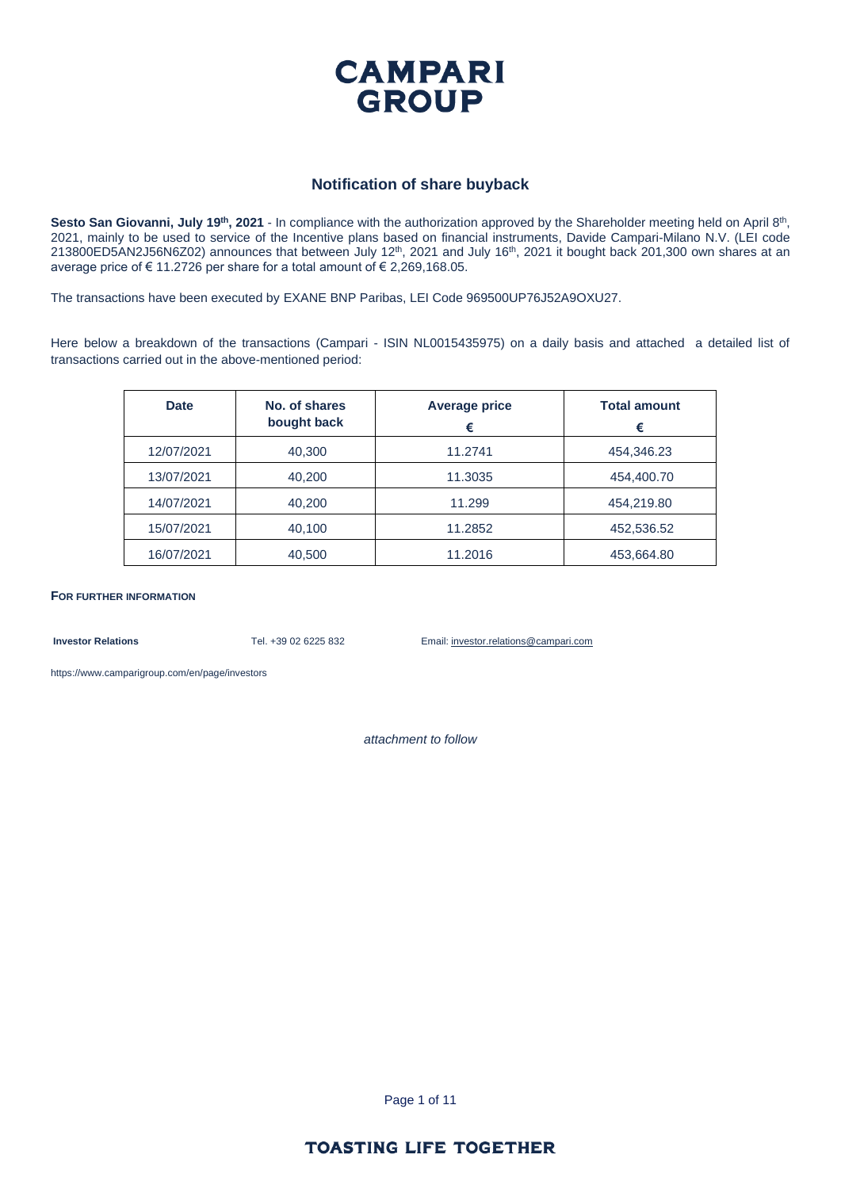

#### **Notification of share buyback**

Sesto San Giovanni, July 19<sup>th</sup>, 2021 - In compliance with the authorization approved by the Shareholder meeting held on April 8<sup>th</sup>, 2021, mainly to be used to service of the Incentive plans based on financial instruments, Davide Campari-Milano N.V. (LEI code 213800ED5AN2J56N6Z02) announces that between July 12<sup>th</sup>, 2021 and July 16<sup>th</sup>, 2021 it bought back 201,300 own shares at an average price of € 11.2726 per share for a total amount of € 2,269,168.05.

The transactions have been executed by EXANE BNP Paribas, LEI Code 969500UP76J52A9OXU27.

Here below a breakdown of the transactions (Campari - ISIN NL0015435975) on a daily basis and attached a detailed list of transactions carried out in the above-mentioned period:

| <b>Date</b> | No. of shares<br>bought back | <b>Average price</b><br>€ | <b>Total amount</b><br>€ |
|-------------|------------------------------|---------------------------|--------------------------|
| 12/07/2021  | 40,300                       | 11.2741                   | 454,346.23               |
| 13/07/2021  | 40,200                       | 11.3035                   | 454,400.70               |
| 14/07/2021  | 40,200                       | 11.299                    | 454,219.80               |
| 15/07/2021  | 40,100                       | 11.2852                   | 452,536.52               |
| 16/07/2021  | 40,500                       | 11.2016                   | 453,664.80               |

**FOR FURTHER INFORMATION**

**Investor Relations** Tel. +39 02 6225 832 Email: investor.relations@campari.com

[https://www.camparigroup.com/en/page/investors](https://urldefense.proofpoint.com/v2/url?u=https-3A__www.camparigroup.com_en_page_investors&d=DwMFAw&c=XYrWdXnqoGVNRPOyUELP3IXCOEKnVf1zLk3mv6_0vws&r=7duvdfu-gIaiPrAcF5cMQ3C7k4ExOdDC_HToaoAPHZI&m=owk4gVJoOX0Y5PzcaCnrKyxdIRMNjFCG63QhVPH7AUk&s=iCu7Kfnsxig867VkmNLTca3aRN9CMoJdPlGaK-6pYP8&e=)

*attachment to follow*

Page 1 of 11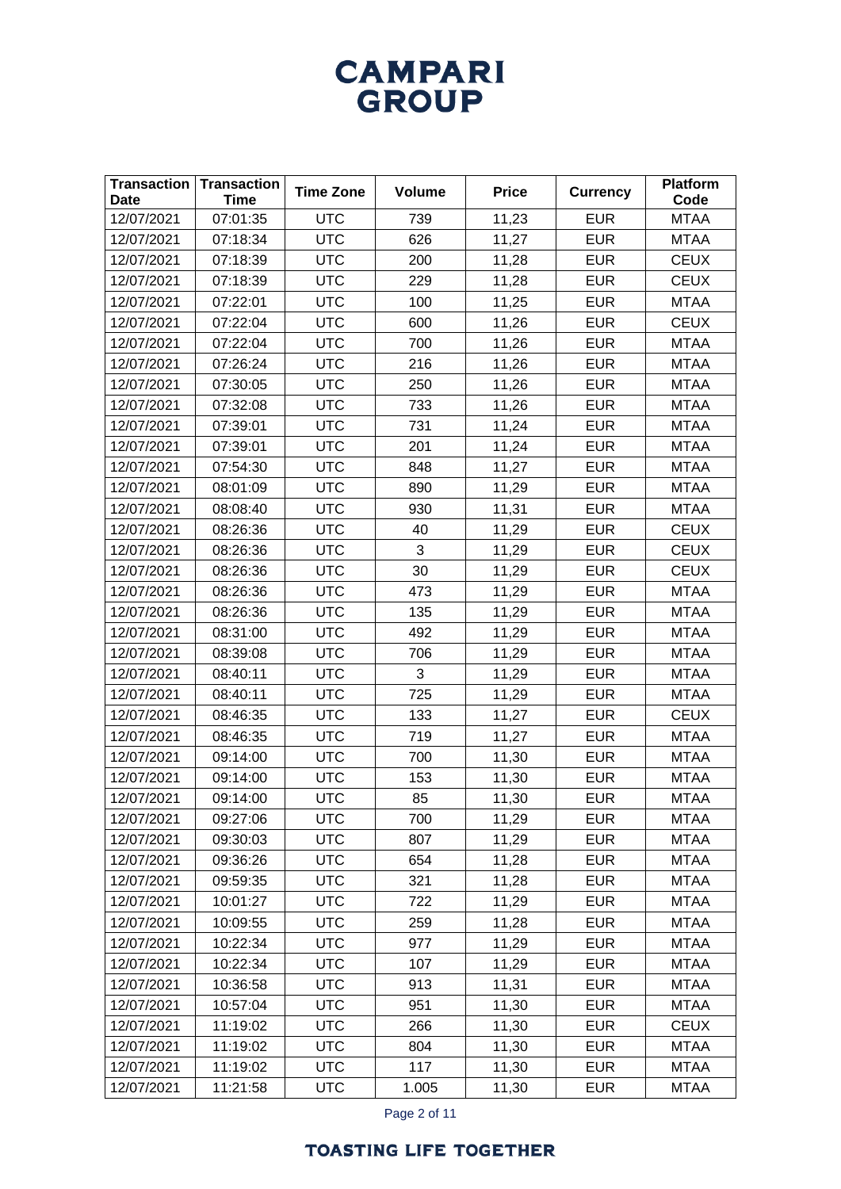| <b>Transaction</b><br><b>Date</b> | <b>Transaction</b><br><b>Time</b> | <b>Time Zone</b> | <b>Volume</b> | <b>Price</b> | <b>Currency</b> | <b>Platform</b><br>Code |
|-----------------------------------|-----------------------------------|------------------|---------------|--------------|-----------------|-------------------------|
| 12/07/2021                        | 07:01:35                          | <b>UTC</b>       | 739           | 11,23        | <b>EUR</b>      | <b>MTAA</b>             |
| 12/07/2021                        | 07:18:34                          | <b>UTC</b>       | 626           | 11,27        | <b>EUR</b>      | <b>MTAA</b>             |
| 12/07/2021                        | 07:18:39                          | <b>UTC</b>       | 200           | 11,28        | <b>EUR</b>      | <b>CEUX</b>             |
| 12/07/2021                        | 07:18:39                          | <b>UTC</b>       | 229           | 11,28        | <b>EUR</b>      | <b>CEUX</b>             |
| 12/07/2021                        | 07:22:01                          | <b>UTC</b>       | 100           | 11,25        | <b>EUR</b>      | <b>MTAA</b>             |
| 12/07/2021                        | 07:22:04                          | <b>UTC</b>       | 600           | 11,26        | <b>EUR</b>      | <b>CEUX</b>             |
| 12/07/2021                        | 07:22:04                          | <b>UTC</b>       | 700           | 11,26        | <b>EUR</b>      | <b>MTAA</b>             |
| 12/07/2021                        | 07:26:24                          | <b>UTC</b>       | 216           | 11,26        | <b>EUR</b>      | <b>MTAA</b>             |
| 12/07/2021                        | 07:30:05                          | <b>UTC</b>       | 250           | 11,26        | <b>EUR</b>      | <b>MTAA</b>             |
| 12/07/2021                        | 07:32:08                          | <b>UTC</b>       | 733           | 11,26        | <b>EUR</b>      | <b>MTAA</b>             |
| 12/07/2021                        | 07:39:01                          | <b>UTC</b>       | 731           | 11,24        | <b>EUR</b>      | <b>MTAA</b>             |
| 12/07/2021                        | 07:39:01                          | <b>UTC</b>       | 201           | 11,24        | <b>EUR</b>      | <b>MTAA</b>             |
| 12/07/2021                        | 07:54:30                          | <b>UTC</b>       | 848           | 11,27        | <b>EUR</b>      | <b>MTAA</b>             |
| 12/07/2021                        | 08:01:09                          | <b>UTC</b>       | 890           | 11,29        | <b>EUR</b>      | <b>MTAA</b>             |
| 12/07/2021                        | 08:08:40                          | <b>UTC</b>       | 930           | 11,31        | <b>EUR</b>      | <b>MTAA</b>             |
| 12/07/2021                        | 08:26:36                          | <b>UTC</b>       | 40            | 11,29        | <b>EUR</b>      | <b>CEUX</b>             |
| 12/07/2021                        | 08:26:36                          | <b>UTC</b>       | 3             | 11,29        | <b>EUR</b>      | <b>CEUX</b>             |
| 12/07/2021                        | 08:26:36                          | <b>UTC</b>       | 30            | 11,29        | <b>EUR</b>      | <b>CEUX</b>             |
| 12/07/2021                        | 08:26:36                          | <b>UTC</b>       | 473           | 11,29        | <b>EUR</b>      | <b>MTAA</b>             |
| 12/07/2021                        | 08:26:36                          | <b>UTC</b>       | 135           | 11,29        | <b>EUR</b>      | <b>MTAA</b>             |
| 12/07/2021                        | 08:31:00                          | <b>UTC</b>       | 492           | 11,29        | <b>EUR</b>      | <b>MTAA</b>             |
| 12/07/2021                        | 08:39:08                          | <b>UTC</b>       | 706           | 11,29        | <b>EUR</b>      | <b>MTAA</b>             |
| 12/07/2021                        | 08:40:11                          | <b>UTC</b>       | 3             | 11,29        | <b>EUR</b>      | <b>MTAA</b>             |
| 12/07/2021                        | 08:40:11                          | <b>UTC</b>       | 725           | 11,29        | <b>EUR</b>      | <b>MTAA</b>             |
| 12/07/2021                        | 08:46:35                          | <b>UTC</b>       | 133           | 11,27        | <b>EUR</b>      | <b>CEUX</b>             |
| 12/07/2021                        | 08:46:35                          | <b>UTC</b>       | 719           | 11,27        | <b>EUR</b>      | <b>MTAA</b>             |
| 12/07/2021                        | 09:14:00                          | <b>UTC</b>       | 700           | 11,30        | <b>EUR</b>      | <b>MTAA</b>             |
| 12/07/2021                        | 09:14:00                          | <b>UTC</b>       | 153           | 11,30        | <b>EUR</b>      | <b>MTAA</b>             |
| 12/07/2021                        | 09:14:00                          | <b>UTC</b>       | 85            | 11,30        | <b>EUR</b>      | <b>MTAA</b>             |
| 12/07/2021                        | 09:27:06                          | <b>UTC</b>       | 700           | 11,29        | <b>EUR</b>      | <b>MTAA</b>             |
| 12/07/2021                        | 09:30:03                          | <b>UTC</b>       | 807           | 11,29        | <b>EUR</b>      | <b>MTAA</b>             |
| 12/07/2021                        | 09:36:26                          | <b>UTC</b>       | 654           | 11,28        | <b>EUR</b>      | <b>MTAA</b>             |
| 12/07/2021                        | 09:59:35                          | <b>UTC</b>       | 321           | 11,28        | <b>EUR</b>      | <b>MTAA</b>             |
| 12/07/2021                        | 10:01:27                          | <b>UTC</b>       | 722           | 11,29        | <b>EUR</b>      | MTAA                    |
| 12/07/2021                        | 10:09:55                          | <b>UTC</b>       | 259           | 11,28        | <b>EUR</b>      | <b>MTAA</b>             |
| 12/07/2021                        | 10:22:34                          | <b>UTC</b>       | 977           | 11,29        | <b>EUR</b>      | <b>MTAA</b>             |
| 12/07/2021                        | 10:22:34                          | <b>UTC</b>       | 107           | 11,29        | <b>EUR</b>      | <b>MTAA</b>             |
| 12/07/2021                        | 10:36:58                          | <b>UTC</b>       | 913           | 11,31        | <b>EUR</b>      | MTAA                    |
| 12/07/2021                        | 10:57:04                          | <b>UTC</b>       | 951           | 11,30        | <b>EUR</b>      | <b>MTAA</b>             |
| 12/07/2021                        | 11:19:02                          | <b>UTC</b>       | 266           | 11,30        | <b>EUR</b>      | <b>CEUX</b>             |
| 12/07/2021                        | 11:19:02                          | <b>UTC</b>       | 804           | 11,30        | <b>EUR</b>      | <b>MTAA</b>             |
| 12/07/2021                        | 11:19:02                          | <b>UTC</b>       | 117           | 11,30        | <b>EUR</b>      | <b>MTAA</b>             |
| 12/07/2021                        | 11:21:58                          | <b>UTC</b>       | 1.005         | 11,30        | <b>EUR</b>      | <b>MTAA</b>             |

Page 2 of 11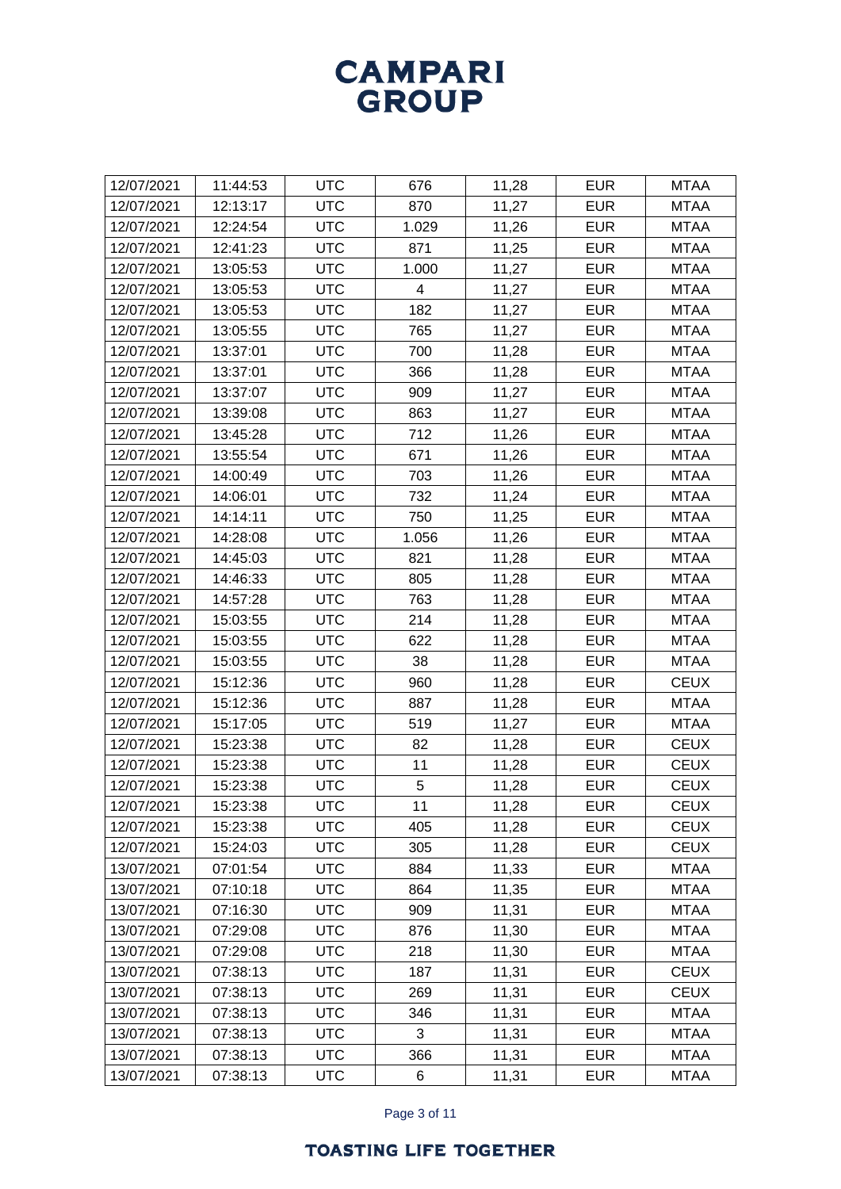| 12/07/2021 | 11:44:53 | <b>UTC</b> | 676   | 11,28 | <b>EUR</b> | <b>MTAA</b> |
|------------|----------|------------|-------|-------|------------|-------------|
| 12/07/2021 | 12:13:17 | <b>UTC</b> | 870   | 11,27 | <b>EUR</b> | <b>MTAA</b> |
| 12/07/2021 | 12:24:54 | <b>UTC</b> | 1.029 | 11,26 | <b>EUR</b> | <b>MTAA</b> |
| 12/07/2021 | 12:41:23 | <b>UTC</b> | 871   | 11,25 | <b>EUR</b> | <b>MTAA</b> |
| 12/07/2021 | 13:05:53 | <b>UTC</b> | 1.000 | 11,27 | <b>EUR</b> | <b>MTAA</b> |
| 12/07/2021 | 13:05:53 | <b>UTC</b> | 4     | 11,27 | <b>EUR</b> | <b>MTAA</b> |
| 12/07/2021 | 13:05:53 | <b>UTC</b> | 182   | 11,27 | <b>EUR</b> | <b>MTAA</b> |
| 12/07/2021 | 13:05:55 | <b>UTC</b> | 765   | 11,27 | <b>EUR</b> | <b>MTAA</b> |
| 12/07/2021 | 13:37:01 | <b>UTC</b> | 700   | 11,28 | <b>EUR</b> | <b>MTAA</b> |
| 12/07/2021 | 13:37:01 | <b>UTC</b> | 366   | 11,28 | <b>EUR</b> | <b>MTAA</b> |
| 12/07/2021 | 13:37:07 | <b>UTC</b> | 909   | 11,27 | <b>EUR</b> | <b>MTAA</b> |
| 12/07/2021 | 13:39:08 | <b>UTC</b> | 863   | 11,27 | <b>EUR</b> | <b>MTAA</b> |
| 12/07/2021 | 13:45:28 | <b>UTC</b> | 712   | 11,26 | <b>EUR</b> | <b>MTAA</b> |
| 12/07/2021 | 13:55:54 | <b>UTC</b> | 671   | 11,26 | <b>EUR</b> | <b>MTAA</b> |
| 12/07/2021 | 14:00:49 | <b>UTC</b> | 703   | 11,26 | <b>EUR</b> | <b>MTAA</b> |
| 12/07/2021 | 14:06:01 | <b>UTC</b> | 732   | 11,24 | <b>EUR</b> | <b>MTAA</b> |
| 12/07/2021 | 14:14:11 | <b>UTC</b> | 750   | 11,25 | <b>EUR</b> | <b>MTAA</b> |
| 12/07/2021 | 14:28:08 | <b>UTC</b> | 1.056 | 11,26 | <b>EUR</b> | <b>MTAA</b> |
| 12/07/2021 | 14:45:03 | <b>UTC</b> | 821   | 11,28 | <b>EUR</b> | <b>MTAA</b> |
| 12/07/2021 | 14:46:33 | <b>UTC</b> | 805   | 11,28 | <b>EUR</b> | <b>MTAA</b> |
| 12/07/2021 | 14:57:28 | <b>UTC</b> | 763   | 11,28 | <b>EUR</b> | <b>MTAA</b> |
| 12/07/2021 | 15:03:55 | <b>UTC</b> | 214   | 11,28 | <b>EUR</b> | <b>MTAA</b> |
| 12/07/2021 | 15:03:55 | <b>UTC</b> | 622   | 11,28 | <b>EUR</b> | <b>MTAA</b> |
| 12/07/2021 | 15:03:55 | <b>UTC</b> | 38    | 11,28 | <b>EUR</b> | <b>MTAA</b> |
| 12/07/2021 | 15:12:36 | <b>UTC</b> | 960   | 11,28 | <b>EUR</b> | <b>CEUX</b> |
| 12/07/2021 | 15:12:36 | <b>UTC</b> | 887   | 11,28 | <b>EUR</b> | <b>MTAA</b> |
| 12/07/2021 | 15:17:05 | <b>UTC</b> | 519   | 11,27 | <b>EUR</b> | <b>MTAA</b> |
| 12/07/2021 | 15:23:38 | <b>UTC</b> | 82    | 11,28 | <b>EUR</b> | <b>CEUX</b> |
| 12/07/2021 | 15:23:38 | <b>UTC</b> | 11    | 11,28 | <b>EUR</b> | <b>CEUX</b> |
| 12/07/2021 | 15:23:38 | <b>UTC</b> | 5     | 11,28 | <b>EUR</b> | <b>CEUX</b> |
| 12/07/2021 | 15:23:38 | <b>UTC</b> | 11    | 11,28 | <b>EUR</b> | <b>CEUX</b> |
| 12/07/2021 | 15:23:38 | <b>UTC</b> | 405   | 11,28 | <b>EUR</b> | <b>CEUX</b> |
| 12/07/2021 | 15:24:03 | <b>UTC</b> | 305   | 11,28 | <b>EUR</b> | <b>CEUX</b> |
| 13/07/2021 | 07:01:54 | <b>UTC</b> | 884   | 11,33 | <b>EUR</b> | <b>MTAA</b> |
| 13/07/2021 | 07:10:18 | <b>UTC</b> | 864   | 11,35 | <b>EUR</b> | <b>MTAA</b> |
| 13/07/2021 | 07:16:30 | <b>UTC</b> | 909   | 11,31 | <b>EUR</b> | <b>MTAA</b> |
| 13/07/2021 | 07:29:08 | <b>UTC</b> | 876   | 11,30 | <b>EUR</b> | <b>MTAA</b> |
| 13/07/2021 | 07:29:08 | <b>UTC</b> | 218   | 11,30 | <b>EUR</b> | <b>MTAA</b> |
| 13/07/2021 | 07:38:13 | <b>UTC</b> | 187   | 11,31 | <b>EUR</b> | <b>CEUX</b> |
| 13/07/2021 | 07:38:13 | <b>UTC</b> | 269   | 11,31 | <b>EUR</b> | <b>CEUX</b> |
| 13/07/2021 | 07:38:13 | <b>UTC</b> | 346   | 11,31 | <b>EUR</b> | <b>MTAA</b> |
| 13/07/2021 | 07:38:13 | <b>UTC</b> | 3     | 11,31 | <b>EUR</b> | <b>MTAA</b> |
| 13/07/2021 | 07:38:13 | <b>UTC</b> | 366   | 11,31 | <b>EUR</b> | <b>MTAA</b> |
| 13/07/2021 | 07:38:13 | <b>UTC</b> | 6     | 11,31 | <b>EUR</b> | <b>MTAA</b> |

Page 3 of 11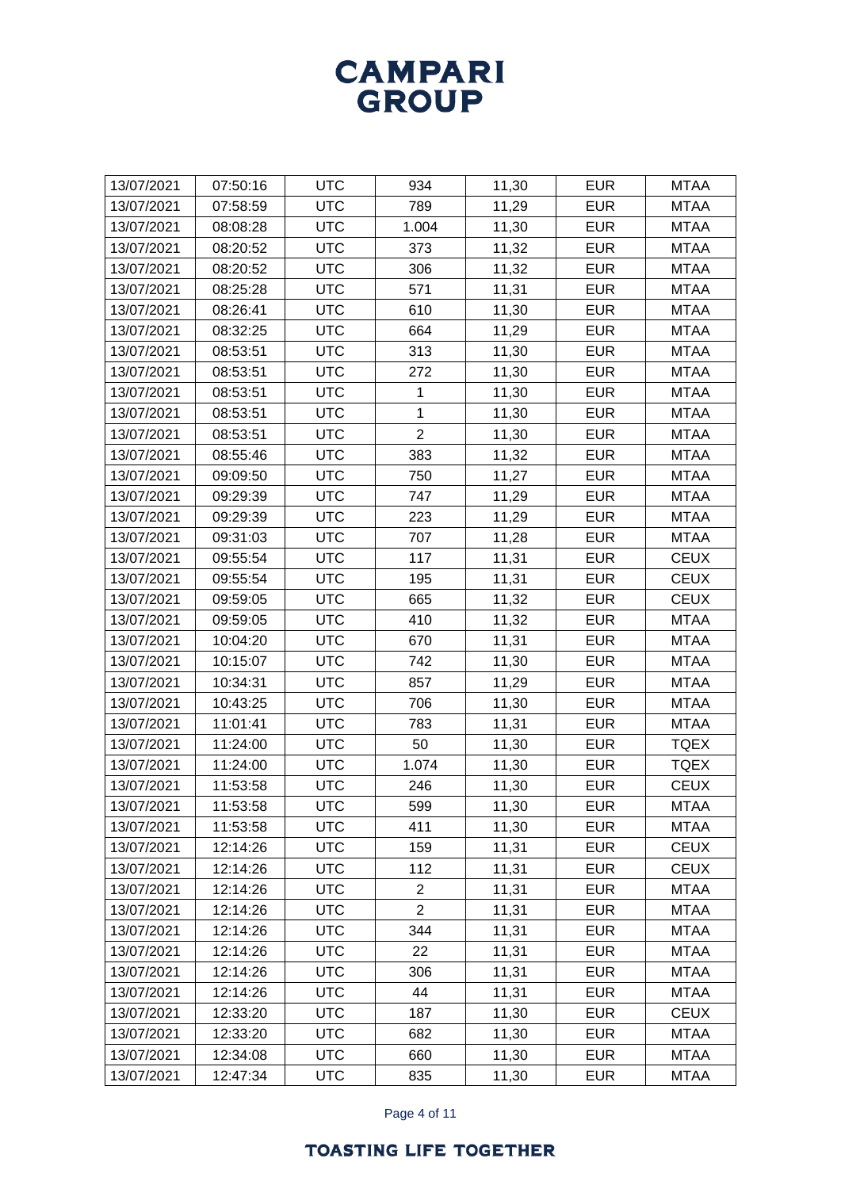| 13/07/2021 | 07:50:16 | <b>UTC</b> | 934            | 11,30 | <b>EUR</b> | <b>MTAA</b> |
|------------|----------|------------|----------------|-------|------------|-------------|
| 13/07/2021 | 07:58:59 | <b>UTC</b> | 789            | 11,29 | <b>EUR</b> | <b>MTAA</b> |
| 13/07/2021 | 08:08:28 | <b>UTC</b> | 1.004          | 11,30 | <b>EUR</b> | <b>MTAA</b> |
| 13/07/2021 | 08:20:52 | <b>UTC</b> | 373            | 11,32 | <b>EUR</b> | <b>MTAA</b> |
| 13/07/2021 | 08:20:52 | <b>UTC</b> | 306            | 11,32 | <b>EUR</b> | <b>MTAA</b> |
| 13/07/2021 | 08:25:28 | <b>UTC</b> | 571            | 11,31 | <b>EUR</b> | <b>MTAA</b> |
| 13/07/2021 | 08:26:41 | <b>UTC</b> | 610            | 11,30 | <b>EUR</b> | <b>MTAA</b> |
| 13/07/2021 | 08:32:25 | <b>UTC</b> | 664            | 11,29 | <b>EUR</b> | <b>MTAA</b> |
| 13/07/2021 | 08:53:51 | <b>UTC</b> | 313            | 11,30 | <b>EUR</b> | <b>MTAA</b> |
| 13/07/2021 | 08:53:51 | <b>UTC</b> | 272            | 11,30 | <b>EUR</b> | <b>MTAA</b> |
| 13/07/2021 | 08:53:51 | <b>UTC</b> | 1              | 11,30 | <b>EUR</b> | <b>MTAA</b> |
| 13/07/2021 | 08:53:51 | <b>UTC</b> | 1              | 11,30 | <b>EUR</b> | <b>MTAA</b> |
| 13/07/2021 | 08:53:51 | <b>UTC</b> | $\overline{2}$ | 11,30 | <b>EUR</b> | <b>MTAA</b> |
| 13/07/2021 | 08:55:46 | <b>UTC</b> | 383            | 11,32 | <b>EUR</b> | <b>MTAA</b> |
| 13/07/2021 | 09:09:50 | <b>UTC</b> | 750            | 11,27 | <b>EUR</b> | <b>MTAA</b> |
| 13/07/2021 | 09:29:39 | <b>UTC</b> | 747            | 11,29 | <b>EUR</b> | <b>MTAA</b> |
| 13/07/2021 | 09:29:39 | <b>UTC</b> | 223            | 11,29 | <b>EUR</b> | <b>MTAA</b> |
| 13/07/2021 | 09:31:03 | <b>UTC</b> | 707            | 11,28 | <b>EUR</b> | <b>MTAA</b> |
| 13/07/2021 | 09:55:54 | <b>UTC</b> | 117            | 11,31 | <b>EUR</b> | <b>CEUX</b> |
| 13/07/2021 | 09:55:54 | <b>UTC</b> | 195            | 11,31 | <b>EUR</b> | <b>CEUX</b> |
| 13/07/2021 | 09:59:05 | <b>UTC</b> | 665            | 11,32 | <b>EUR</b> | <b>CEUX</b> |
| 13/07/2021 | 09:59:05 | <b>UTC</b> | 410            | 11,32 | <b>EUR</b> | <b>MTAA</b> |
| 13/07/2021 | 10:04:20 | <b>UTC</b> | 670            | 11,31 | <b>EUR</b> | <b>MTAA</b> |
| 13/07/2021 | 10:15:07 | <b>UTC</b> | 742            | 11,30 | <b>EUR</b> | <b>MTAA</b> |
| 13/07/2021 | 10:34:31 | <b>UTC</b> | 857            | 11,29 | <b>EUR</b> | <b>MTAA</b> |
| 13/07/2021 | 10:43:25 | <b>UTC</b> | 706            | 11,30 | <b>EUR</b> | <b>MTAA</b> |
| 13/07/2021 | 11:01:41 | <b>UTC</b> | 783            | 11,31 | <b>EUR</b> | <b>MTAA</b> |
| 13/07/2021 | 11:24:00 | <b>UTC</b> | 50             | 11,30 | <b>EUR</b> | <b>TQEX</b> |
| 13/07/2021 | 11:24:00 | <b>UTC</b> | 1.074          | 11,30 | <b>EUR</b> | <b>TQEX</b> |
| 13/07/2021 | 11:53:58 | <b>UTC</b> | 246            | 11,30 | <b>EUR</b> | <b>CEUX</b> |
| 13/07/2021 | 11:53:58 | <b>UTC</b> | 599            | 11,30 | <b>EUR</b> | <b>MTAA</b> |
| 13/07/2021 | 11:53:58 | <b>UTC</b> | 411            | 11,30 | <b>EUR</b> | <b>MTAA</b> |
| 13/07/2021 | 12:14:26 | <b>UTC</b> | 159            | 11,31 | <b>EUR</b> | <b>CEUX</b> |
| 13/07/2021 | 12:14:26 | <b>UTC</b> | 112            | 11,31 | <b>EUR</b> | <b>CEUX</b> |
| 13/07/2021 | 12:14:26 | <b>UTC</b> | $\overline{2}$ | 11,31 | <b>EUR</b> | <b>MTAA</b> |
| 13/07/2021 | 12:14:26 | <b>UTC</b> | $\overline{2}$ | 11,31 | <b>EUR</b> | <b>MTAA</b> |
| 13/07/2021 | 12:14:26 | <b>UTC</b> | 344            | 11,31 | <b>EUR</b> | <b>MTAA</b> |
| 13/07/2021 | 12:14:26 | <b>UTC</b> | 22             | 11,31 | <b>EUR</b> | <b>MTAA</b> |
| 13/07/2021 | 12:14:26 | <b>UTC</b> | 306            | 11,31 | <b>EUR</b> | <b>MTAA</b> |
| 13/07/2021 | 12:14:26 | <b>UTC</b> | 44             | 11,31 | <b>EUR</b> | <b>MTAA</b> |
| 13/07/2021 | 12:33:20 | <b>UTC</b> | 187            | 11,30 | <b>EUR</b> | <b>CEUX</b> |
| 13/07/2021 | 12:33:20 | <b>UTC</b> | 682            | 11,30 | <b>EUR</b> | <b>MTAA</b> |
| 13/07/2021 | 12:34:08 | <b>UTC</b> | 660            | 11,30 | <b>EUR</b> | <b>MTAA</b> |
| 13/07/2021 | 12:47:34 | <b>UTC</b> | 835            | 11,30 | <b>EUR</b> | <b>MTAA</b> |
|            |          |            |                |       |            |             |

Page 4 of 11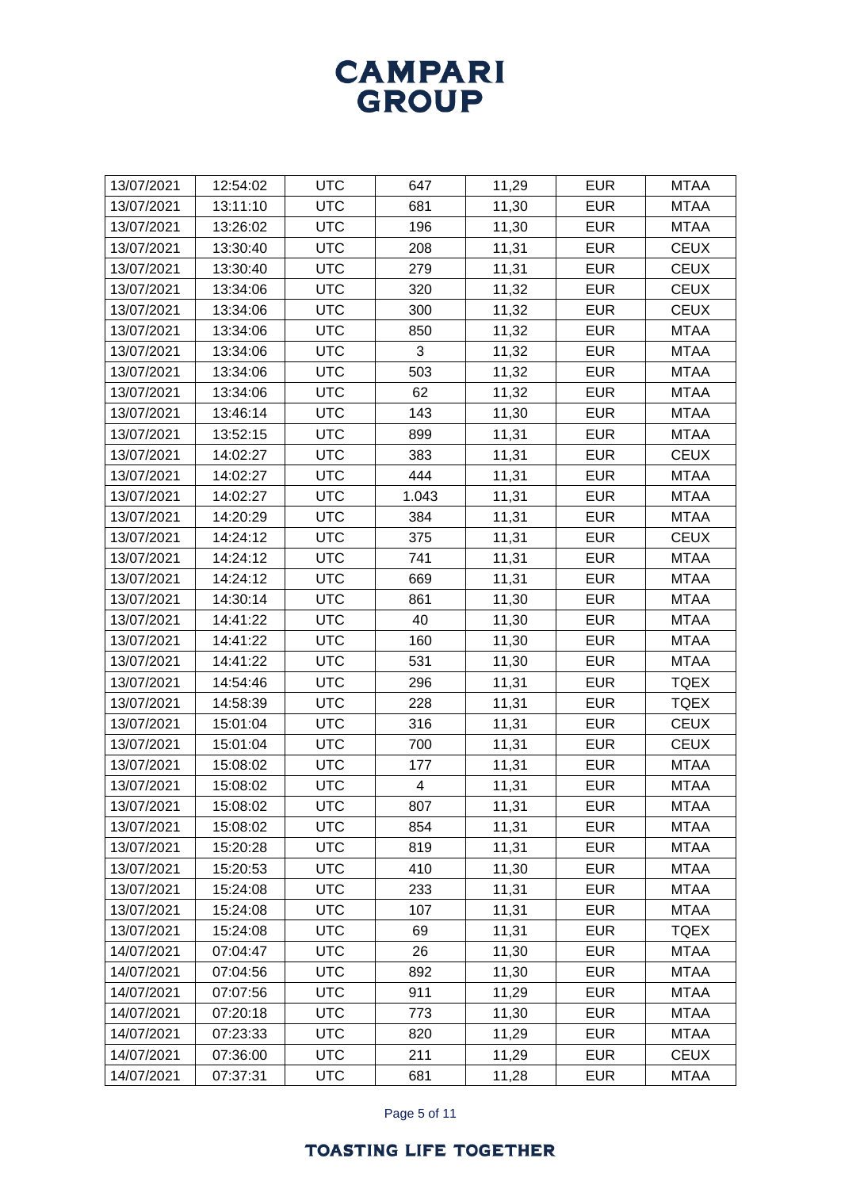| 13/07/2021<br>12:54:02<br><b>UTC</b><br>647<br>11,29<br><b>EUR</b><br><b>MTAA</b><br><b>UTC</b><br>11,30<br><b>EUR</b><br><b>MTAA</b><br>13/07/2021<br>13:11:10<br>681<br>13:26:02<br><b>UTC</b><br>196<br>11,30<br><b>EUR</b><br><b>MTAA</b><br>13/07/2021<br>11,31<br>13:30:40<br><b>UTC</b><br>208<br><b>EUR</b><br><b>CEUX</b><br>13/07/2021<br>13/07/2021<br><b>UTC</b><br>11,31<br><b>EUR</b><br><b>CEUX</b><br>13:30:40<br>279<br><b>UTC</b><br>13/07/2021<br>13:34:06<br>320<br>11,32<br><b>EUR</b><br><b>CEUX</b><br><b>UTC</b><br>11,32<br><b>EUR</b><br><b>CEUX</b><br>13/07/2021<br>13:34:06<br>300<br>13/07/2021<br>13:34:06<br><b>UTC</b><br>850<br>11,32<br><b>EUR</b><br><b>MTAA</b><br><b>UTC</b><br>3<br>11,32<br><b>EUR</b><br>13/07/2021<br>13:34:06<br><b>MTAA</b><br><b>UTC</b><br>503<br>11,32<br><b>EUR</b><br><b>MTAA</b><br>13/07/2021<br>13:34:06<br>11,32<br><b>UTC</b><br>62<br><b>EUR</b><br>13/07/2021<br>13:34:06<br><b>MTAA</b><br>13/07/2021<br><b>UTC</b><br>143<br>11,30<br><b>EUR</b><br>13:46:14<br><b>MTAA</b><br>13/07/2021<br>13:52:15<br><b>UTC</b><br>899<br>11,31<br><b>EUR</b><br><b>MTAA</b><br>13/07/2021<br><b>UTC</b><br>383<br>11,31<br><b>EUR</b><br><b>CEUX</b><br>14:02:27<br><b>UTC</b><br>444<br>13/07/2021<br>14:02:27<br>11,31<br><b>EUR</b><br><b>MTAA</b><br><b>UTC</b><br>11,31<br><b>EUR</b><br>13/07/2021<br>14:02:27<br>1.043<br><b>MTAA</b><br>13/07/2021<br>14:20:29<br><b>UTC</b><br>384<br>11,31<br><b>EUR</b><br><b>MTAA</b><br>14:24:12<br><b>UTC</b><br>375<br>11,31<br><b>EUR</b><br><b>CEUX</b><br>13/07/2021<br><b>UTC</b><br>741<br>11,31<br><b>EUR</b><br><b>MTAA</b><br>13/07/2021<br>14:24:12<br>11,31<br><b>UTC</b><br>669<br><b>EUR</b><br><b>MTAA</b><br>13/07/2021<br>14:24:12<br>13/07/2021<br><b>UTC</b><br>11,30<br><b>EUR</b><br>14:30:14<br>861<br><b>MTAA</b><br>11,30<br><b>EUR</b><br>13/07/2021<br>14:41:22<br><b>UTC</b><br>40<br><b>MTAA</b><br><b>UTC</b><br>160<br>11,30<br><b>EUR</b><br>13/07/2021<br>14:41:22<br><b>MTAA</b><br><b>UTC</b><br>531<br><b>EUR</b><br><b>MTAA</b><br>13/07/2021<br>14:41:22<br>11,30<br><b>UTC</b><br>11,31<br>14:54:46<br><b>EUR</b><br><b>TQEX</b><br>13/07/2021<br>296<br>13/07/2021<br>14:58:39<br><b>UTC</b><br>228<br>11,31<br><b>EUR</b><br><b>TQEX</b><br><b>UTC</b><br>11,31<br><b>EUR</b><br><b>CEUX</b><br>13/07/2021<br>15:01:04<br>316<br><b>UTC</b><br>700<br>11,31<br><b>EUR</b><br><b>CEUX</b><br>13/07/2021<br>15:01:04<br><b>UTC</b><br>11,31<br><b>EUR</b><br>13/07/2021<br>15:08:02<br>177<br><b>MTAA</b><br><b>UTC</b><br>11,31<br><b>EUR</b><br>13/07/2021<br>15:08:02<br>4<br><b>MTAA</b><br>15:08:02<br><b>UTC</b><br>807<br>11,31<br><b>EUR</b><br>13/07/2021<br><b>MTAA</b><br><b>UTC</b><br>854<br><b>EUR</b><br>13/07/2021<br>15:08:02<br>11,31<br><b>MTAA</b><br><b>UTC</b><br><b>EUR</b><br>13/07/2021<br>15:20:28<br>819<br>11,31<br><b>MTAA</b><br><b>UTC</b><br>11,30<br>13/07/2021<br>15:20:53<br>410<br><b>EUR</b><br><b>MTAA</b><br><b>EUR</b><br>13/07/2021<br>15:24:08<br><b>UTC</b><br>233<br>11,31<br><b>MTAA</b><br><b>UTC</b><br>13/07/2021<br>107<br>11,31<br><b>EUR</b><br><b>MTAA</b><br>15:24:08<br><b>EUR</b><br>13/07/2021<br>15:24:08<br><b>UTC</b><br>69<br>11,31<br><b>TQEX</b><br><b>UTC</b><br>26<br>11,30<br>14/07/2021<br>07:04:47<br><b>EUR</b><br><b>MTAA</b><br>14/07/2021<br>07:04:56<br><b>UTC</b><br>892<br>11,30<br><b>EUR</b><br><b>MTAA</b><br><b>EUR</b><br><b>UTC</b><br>911<br>11,29<br>14/07/2021<br>07:07:56<br><b>MTAA</b><br><b>UTC</b><br>14/07/2021<br>07:20:18<br>773<br>11,30<br><b>EUR</b><br><b>MTAA</b><br><b>UTC</b><br>14/07/2021<br>07:23:33<br>820<br>11,29<br><b>EUR</b><br><b>MTAA</b><br><b>UTC</b><br>11,29<br>14/07/2021<br>07:36:00<br>211<br><b>EUR</b><br><b>CEUX</b><br><b>EUR</b><br>14/07/2021<br>07:37:31<br><b>UTC</b><br>681<br>11,28<br><b>MTAA</b> |  |  |  |  |
|------------------------------------------------------------------------------------------------------------------------------------------------------------------------------------------------------------------------------------------------------------------------------------------------------------------------------------------------------------------------------------------------------------------------------------------------------------------------------------------------------------------------------------------------------------------------------------------------------------------------------------------------------------------------------------------------------------------------------------------------------------------------------------------------------------------------------------------------------------------------------------------------------------------------------------------------------------------------------------------------------------------------------------------------------------------------------------------------------------------------------------------------------------------------------------------------------------------------------------------------------------------------------------------------------------------------------------------------------------------------------------------------------------------------------------------------------------------------------------------------------------------------------------------------------------------------------------------------------------------------------------------------------------------------------------------------------------------------------------------------------------------------------------------------------------------------------------------------------------------------------------------------------------------------------------------------------------------------------------------------------------------------------------------------------------------------------------------------------------------------------------------------------------------------------------------------------------------------------------------------------------------------------------------------------------------------------------------------------------------------------------------------------------------------------------------------------------------------------------------------------------------------------------------------------------------------------------------------------------------------------------------------------------------------------------------------------------------------------------------------------------------------------------------------------------------------------------------------------------------------------------------------------------------------------------------------------------------------------------------------------------------------------------------------------------------------------------------------------------------------------------------------------------------------------------------------------------------------------------------------------------------------------------------------------------------------------------------------------------------------------------------------------------------------------------------------------------------------------------------------------------------------------------------------------------------------------------------------------------------------------------------------------------------------------------------------------------------------------------------------------------------------------------------------------------------------------------------------------------------------------------|--|--|--|--|
|                                                                                                                                                                                                                                                                                                                                                                                                                                                                                                                                                                                                                                                                                                                                                                                                                                                                                                                                                                                                                                                                                                                                                                                                                                                                                                                                                                                                                                                                                                                                                                                                                                                                                                                                                                                                                                                                                                                                                                                                                                                                                                                                                                                                                                                                                                                                                                                                                                                                                                                                                                                                                                                                                                                                                                                                                                                                                                                                                                                                                                                                                                                                                                                                                                                                                                                                                                                                                                                                                                                                                                                                                                                                                                                                                                                                                                                                                    |  |  |  |  |
|                                                                                                                                                                                                                                                                                                                                                                                                                                                                                                                                                                                                                                                                                                                                                                                                                                                                                                                                                                                                                                                                                                                                                                                                                                                                                                                                                                                                                                                                                                                                                                                                                                                                                                                                                                                                                                                                                                                                                                                                                                                                                                                                                                                                                                                                                                                                                                                                                                                                                                                                                                                                                                                                                                                                                                                                                                                                                                                                                                                                                                                                                                                                                                                                                                                                                                                                                                                                                                                                                                                                                                                                                                                                                                                                                                                                                                                                                    |  |  |  |  |
|                                                                                                                                                                                                                                                                                                                                                                                                                                                                                                                                                                                                                                                                                                                                                                                                                                                                                                                                                                                                                                                                                                                                                                                                                                                                                                                                                                                                                                                                                                                                                                                                                                                                                                                                                                                                                                                                                                                                                                                                                                                                                                                                                                                                                                                                                                                                                                                                                                                                                                                                                                                                                                                                                                                                                                                                                                                                                                                                                                                                                                                                                                                                                                                                                                                                                                                                                                                                                                                                                                                                                                                                                                                                                                                                                                                                                                                                                    |  |  |  |  |
|                                                                                                                                                                                                                                                                                                                                                                                                                                                                                                                                                                                                                                                                                                                                                                                                                                                                                                                                                                                                                                                                                                                                                                                                                                                                                                                                                                                                                                                                                                                                                                                                                                                                                                                                                                                                                                                                                                                                                                                                                                                                                                                                                                                                                                                                                                                                                                                                                                                                                                                                                                                                                                                                                                                                                                                                                                                                                                                                                                                                                                                                                                                                                                                                                                                                                                                                                                                                                                                                                                                                                                                                                                                                                                                                                                                                                                                                                    |  |  |  |  |
|                                                                                                                                                                                                                                                                                                                                                                                                                                                                                                                                                                                                                                                                                                                                                                                                                                                                                                                                                                                                                                                                                                                                                                                                                                                                                                                                                                                                                                                                                                                                                                                                                                                                                                                                                                                                                                                                                                                                                                                                                                                                                                                                                                                                                                                                                                                                                                                                                                                                                                                                                                                                                                                                                                                                                                                                                                                                                                                                                                                                                                                                                                                                                                                                                                                                                                                                                                                                                                                                                                                                                                                                                                                                                                                                                                                                                                                                                    |  |  |  |  |
|                                                                                                                                                                                                                                                                                                                                                                                                                                                                                                                                                                                                                                                                                                                                                                                                                                                                                                                                                                                                                                                                                                                                                                                                                                                                                                                                                                                                                                                                                                                                                                                                                                                                                                                                                                                                                                                                                                                                                                                                                                                                                                                                                                                                                                                                                                                                                                                                                                                                                                                                                                                                                                                                                                                                                                                                                                                                                                                                                                                                                                                                                                                                                                                                                                                                                                                                                                                                                                                                                                                                                                                                                                                                                                                                                                                                                                                                                    |  |  |  |  |
|                                                                                                                                                                                                                                                                                                                                                                                                                                                                                                                                                                                                                                                                                                                                                                                                                                                                                                                                                                                                                                                                                                                                                                                                                                                                                                                                                                                                                                                                                                                                                                                                                                                                                                                                                                                                                                                                                                                                                                                                                                                                                                                                                                                                                                                                                                                                                                                                                                                                                                                                                                                                                                                                                                                                                                                                                                                                                                                                                                                                                                                                                                                                                                                                                                                                                                                                                                                                                                                                                                                                                                                                                                                                                                                                                                                                                                                                                    |  |  |  |  |
|                                                                                                                                                                                                                                                                                                                                                                                                                                                                                                                                                                                                                                                                                                                                                                                                                                                                                                                                                                                                                                                                                                                                                                                                                                                                                                                                                                                                                                                                                                                                                                                                                                                                                                                                                                                                                                                                                                                                                                                                                                                                                                                                                                                                                                                                                                                                                                                                                                                                                                                                                                                                                                                                                                                                                                                                                                                                                                                                                                                                                                                                                                                                                                                                                                                                                                                                                                                                                                                                                                                                                                                                                                                                                                                                                                                                                                                                                    |  |  |  |  |
|                                                                                                                                                                                                                                                                                                                                                                                                                                                                                                                                                                                                                                                                                                                                                                                                                                                                                                                                                                                                                                                                                                                                                                                                                                                                                                                                                                                                                                                                                                                                                                                                                                                                                                                                                                                                                                                                                                                                                                                                                                                                                                                                                                                                                                                                                                                                                                                                                                                                                                                                                                                                                                                                                                                                                                                                                                                                                                                                                                                                                                                                                                                                                                                                                                                                                                                                                                                                                                                                                                                                                                                                                                                                                                                                                                                                                                                                                    |  |  |  |  |
|                                                                                                                                                                                                                                                                                                                                                                                                                                                                                                                                                                                                                                                                                                                                                                                                                                                                                                                                                                                                                                                                                                                                                                                                                                                                                                                                                                                                                                                                                                                                                                                                                                                                                                                                                                                                                                                                                                                                                                                                                                                                                                                                                                                                                                                                                                                                                                                                                                                                                                                                                                                                                                                                                                                                                                                                                                                                                                                                                                                                                                                                                                                                                                                                                                                                                                                                                                                                                                                                                                                                                                                                                                                                                                                                                                                                                                                                                    |  |  |  |  |
|                                                                                                                                                                                                                                                                                                                                                                                                                                                                                                                                                                                                                                                                                                                                                                                                                                                                                                                                                                                                                                                                                                                                                                                                                                                                                                                                                                                                                                                                                                                                                                                                                                                                                                                                                                                                                                                                                                                                                                                                                                                                                                                                                                                                                                                                                                                                                                                                                                                                                                                                                                                                                                                                                                                                                                                                                                                                                                                                                                                                                                                                                                                                                                                                                                                                                                                                                                                                                                                                                                                                                                                                                                                                                                                                                                                                                                                                                    |  |  |  |  |
|                                                                                                                                                                                                                                                                                                                                                                                                                                                                                                                                                                                                                                                                                                                                                                                                                                                                                                                                                                                                                                                                                                                                                                                                                                                                                                                                                                                                                                                                                                                                                                                                                                                                                                                                                                                                                                                                                                                                                                                                                                                                                                                                                                                                                                                                                                                                                                                                                                                                                                                                                                                                                                                                                                                                                                                                                                                                                                                                                                                                                                                                                                                                                                                                                                                                                                                                                                                                                                                                                                                                                                                                                                                                                                                                                                                                                                                                                    |  |  |  |  |
|                                                                                                                                                                                                                                                                                                                                                                                                                                                                                                                                                                                                                                                                                                                                                                                                                                                                                                                                                                                                                                                                                                                                                                                                                                                                                                                                                                                                                                                                                                                                                                                                                                                                                                                                                                                                                                                                                                                                                                                                                                                                                                                                                                                                                                                                                                                                                                                                                                                                                                                                                                                                                                                                                                                                                                                                                                                                                                                                                                                                                                                                                                                                                                                                                                                                                                                                                                                                                                                                                                                                                                                                                                                                                                                                                                                                                                                                                    |  |  |  |  |
|                                                                                                                                                                                                                                                                                                                                                                                                                                                                                                                                                                                                                                                                                                                                                                                                                                                                                                                                                                                                                                                                                                                                                                                                                                                                                                                                                                                                                                                                                                                                                                                                                                                                                                                                                                                                                                                                                                                                                                                                                                                                                                                                                                                                                                                                                                                                                                                                                                                                                                                                                                                                                                                                                                                                                                                                                                                                                                                                                                                                                                                                                                                                                                                                                                                                                                                                                                                                                                                                                                                                                                                                                                                                                                                                                                                                                                                                                    |  |  |  |  |
|                                                                                                                                                                                                                                                                                                                                                                                                                                                                                                                                                                                                                                                                                                                                                                                                                                                                                                                                                                                                                                                                                                                                                                                                                                                                                                                                                                                                                                                                                                                                                                                                                                                                                                                                                                                                                                                                                                                                                                                                                                                                                                                                                                                                                                                                                                                                                                                                                                                                                                                                                                                                                                                                                                                                                                                                                                                                                                                                                                                                                                                                                                                                                                                                                                                                                                                                                                                                                                                                                                                                                                                                                                                                                                                                                                                                                                                                                    |  |  |  |  |
|                                                                                                                                                                                                                                                                                                                                                                                                                                                                                                                                                                                                                                                                                                                                                                                                                                                                                                                                                                                                                                                                                                                                                                                                                                                                                                                                                                                                                                                                                                                                                                                                                                                                                                                                                                                                                                                                                                                                                                                                                                                                                                                                                                                                                                                                                                                                                                                                                                                                                                                                                                                                                                                                                                                                                                                                                                                                                                                                                                                                                                                                                                                                                                                                                                                                                                                                                                                                                                                                                                                                                                                                                                                                                                                                                                                                                                                                                    |  |  |  |  |
|                                                                                                                                                                                                                                                                                                                                                                                                                                                                                                                                                                                                                                                                                                                                                                                                                                                                                                                                                                                                                                                                                                                                                                                                                                                                                                                                                                                                                                                                                                                                                                                                                                                                                                                                                                                                                                                                                                                                                                                                                                                                                                                                                                                                                                                                                                                                                                                                                                                                                                                                                                                                                                                                                                                                                                                                                                                                                                                                                                                                                                                                                                                                                                                                                                                                                                                                                                                                                                                                                                                                                                                                                                                                                                                                                                                                                                                                                    |  |  |  |  |
|                                                                                                                                                                                                                                                                                                                                                                                                                                                                                                                                                                                                                                                                                                                                                                                                                                                                                                                                                                                                                                                                                                                                                                                                                                                                                                                                                                                                                                                                                                                                                                                                                                                                                                                                                                                                                                                                                                                                                                                                                                                                                                                                                                                                                                                                                                                                                                                                                                                                                                                                                                                                                                                                                                                                                                                                                                                                                                                                                                                                                                                                                                                                                                                                                                                                                                                                                                                                                                                                                                                                                                                                                                                                                                                                                                                                                                                                                    |  |  |  |  |
|                                                                                                                                                                                                                                                                                                                                                                                                                                                                                                                                                                                                                                                                                                                                                                                                                                                                                                                                                                                                                                                                                                                                                                                                                                                                                                                                                                                                                                                                                                                                                                                                                                                                                                                                                                                                                                                                                                                                                                                                                                                                                                                                                                                                                                                                                                                                                                                                                                                                                                                                                                                                                                                                                                                                                                                                                                                                                                                                                                                                                                                                                                                                                                                                                                                                                                                                                                                                                                                                                                                                                                                                                                                                                                                                                                                                                                                                                    |  |  |  |  |
|                                                                                                                                                                                                                                                                                                                                                                                                                                                                                                                                                                                                                                                                                                                                                                                                                                                                                                                                                                                                                                                                                                                                                                                                                                                                                                                                                                                                                                                                                                                                                                                                                                                                                                                                                                                                                                                                                                                                                                                                                                                                                                                                                                                                                                                                                                                                                                                                                                                                                                                                                                                                                                                                                                                                                                                                                                                                                                                                                                                                                                                                                                                                                                                                                                                                                                                                                                                                                                                                                                                                                                                                                                                                                                                                                                                                                                                                                    |  |  |  |  |
|                                                                                                                                                                                                                                                                                                                                                                                                                                                                                                                                                                                                                                                                                                                                                                                                                                                                                                                                                                                                                                                                                                                                                                                                                                                                                                                                                                                                                                                                                                                                                                                                                                                                                                                                                                                                                                                                                                                                                                                                                                                                                                                                                                                                                                                                                                                                                                                                                                                                                                                                                                                                                                                                                                                                                                                                                                                                                                                                                                                                                                                                                                                                                                                                                                                                                                                                                                                                                                                                                                                                                                                                                                                                                                                                                                                                                                                                                    |  |  |  |  |
|                                                                                                                                                                                                                                                                                                                                                                                                                                                                                                                                                                                                                                                                                                                                                                                                                                                                                                                                                                                                                                                                                                                                                                                                                                                                                                                                                                                                                                                                                                                                                                                                                                                                                                                                                                                                                                                                                                                                                                                                                                                                                                                                                                                                                                                                                                                                                                                                                                                                                                                                                                                                                                                                                                                                                                                                                                                                                                                                                                                                                                                                                                                                                                                                                                                                                                                                                                                                                                                                                                                                                                                                                                                                                                                                                                                                                                                                                    |  |  |  |  |
|                                                                                                                                                                                                                                                                                                                                                                                                                                                                                                                                                                                                                                                                                                                                                                                                                                                                                                                                                                                                                                                                                                                                                                                                                                                                                                                                                                                                                                                                                                                                                                                                                                                                                                                                                                                                                                                                                                                                                                                                                                                                                                                                                                                                                                                                                                                                                                                                                                                                                                                                                                                                                                                                                                                                                                                                                                                                                                                                                                                                                                                                                                                                                                                                                                                                                                                                                                                                                                                                                                                                                                                                                                                                                                                                                                                                                                                                                    |  |  |  |  |
|                                                                                                                                                                                                                                                                                                                                                                                                                                                                                                                                                                                                                                                                                                                                                                                                                                                                                                                                                                                                                                                                                                                                                                                                                                                                                                                                                                                                                                                                                                                                                                                                                                                                                                                                                                                                                                                                                                                                                                                                                                                                                                                                                                                                                                                                                                                                                                                                                                                                                                                                                                                                                                                                                                                                                                                                                                                                                                                                                                                                                                                                                                                                                                                                                                                                                                                                                                                                                                                                                                                                                                                                                                                                                                                                                                                                                                                                                    |  |  |  |  |
|                                                                                                                                                                                                                                                                                                                                                                                                                                                                                                                                                                                                                                                                                                                                                                                                                                                                                                                                                                                                                                                                                                                                                                                                                                                                                                                                                                                                                                                                                                                                                                                                                                                                                                                                                                                                                                                                                                                                                                                                                                                                                                                                                                                                                                                                                                                                                                                                                                                                                                                                                                                                                                                                                                                                                                                                                                                                                                                                                                                                                                                                                                                                                                                                                                                                                                                                                                                                                                                                                                                                                                                                                                                                                                                                                                                                                                                                                    |  |  |  |  |
|                                                                                                                                                                                                                                                                                                                                                                                                                                                                                                                                                                                                                                                                                                                                                                                                                                                                                                                                                                                                                                                                                                                                                                                                                                                                                                                                                                                                                                                                                                                                                                                                                                                                                                                                                                                                                                                                                                                                                                                                                                                                                                                                                                                                                                                                                                                                                                                                                                                                                                                                                                                                                                                                                                                                                                                                                                                                                                                                                                                                                                                                                                                                                                                                                                                                                                                                                                                                                                                                                                                                                                                                                                                                                                                                                                                                                                                                                    |  |  |  |  |
|                                                                                                                                                                                                                                                                                                                                                                                                                                                                                                                                                                                                                                                                                                                                                                                                                                                                                                                                                                                                                                                                                                                                                                                                                                                                                                                                                                                                                                                                                                                                                                                                                                                                                                                                                                                                                                                                                                                                                                                                                                                                                                                                                                                                                                                                                                                                                                                                                                                                                                                                                                                                                                                                                                                                                                                                                                                                                                                                                                                                                                                                                                                                                                                                                                                                                                                                                                                                                                                                                                                                                                                                                                                                                                                                                                                                                                                                                    |  |  |  |  |
|                                                                                                                                                                                                                                                                                                                                                                                                                                                                                                                                                                                                                                                                                                                                                                                                                                                                                                                                                                                                                                                                                                                                                                                                                                                                                                                                                                                                                                                                                                                                                                                                                                                                                                                                                                                                                                                                                                                                                                                                                                                                                                                                                                                                                                                                                                                                                                                                                                                                                                                                                                                                                                                                                                                                                                                                                                                                                                                                                                                                                                                                                                                                                                                                                                                                                                                                                                                                                                                                                                                                                                                                                                                                                                                                                                                                                                                                                    |  |  |  |  |
|                                                                                                                                                                                                                                                                                                                                                                                                                                                                                                                                                                                                                                                                                                                                                                                                                                                                                                                                                                                                                                                                                                                                                                                                                                                                                                                                                                                                                                                                                                                                                                                                                                                                                                                                                                                                                                                                                                                                                                                                                                                                                                                                                                                                                                                                                                                                                                                                                                                                                                                                                                                                                                                                                                                                                                                                                                                                                                                                                                                                                                                                                                                                                                                                                                                                                                                                                                                                                                                                                                                                                                                                                                                                                                                                                                                                                                                                                    |  |  |  |  |
|                                                                                                                                                                                                                                                                                                                                                                                                                                                                                                                                                                                                                                                                                                                                                                                                                                                                                                                                                                                                                                                                                                                                                                                                                                                                                                                                                                                                                                                                                                                                                                                                                                                                                                                                                                                                                                                                                                                                                                                                                                                                                                                                                                                                                                                                                                                                                                                                                                                                                                                                                                                                                                                                                                                                                                                                                                                                                                                                                                                                                                                                                                                                                                                                                                                                                                                                                                                                                                                                                                                                                                                                                                                                                                                                                                                                                                                                                    |  |  |  |  |
|                                                                                                                                                                                                                                                                                                                                                                                                                                                                                                                                                                                                                                                                                                                                                                                                                                                                                                                                                                                                                                                                                                                                                                                                                                                                                                                                                                                                                                                                                                                                                                                                                                                                                                                                                                                                                                                                                                                                                                                                                                                                                                                                                                                                                                                                                                                                                                                                                                                                                                                                                                                                                                                                                                                                                                                                                                                                                                                                                                                                                                                                                                                                                                                                                                                                                                                                                                                                                                                                                                                                                                                                                                                                                                                                                                                                                                                                                    |  |  |  |  |
|                                                                                                                                                                                                                                                                                                                                                                                                                                                                                                                                                                                                                                                                                                                                                                                                                                                                                                                                                                                                                                                                                                                                                                                                                                                                                                                                                                                                                                                                                                                                                                                                                                                                                                                                                                                                                                                                                                                                                                                                                                                                                                                                                                                                                                                                                                                                                                                                                                                                                                                                                                                                                                                                                                                                                                                                                                                                                                                                                                                                                                                                                                                                                                                                                                                                                                                                                                                                                                                                                                                                                                                                                                                                                                                                                                                                                                                                                    |  |  |  |  |
|                                                                                                                                                                                                                                                                                                                                                                                                                                                                                                                                                                                                                                                                                                                                                                                                                                                                                                                                                                                                                                                                                                                                                                                                                                                                                                                                                                                                                                                                                                                                                                                                                                                                                                                                                                                                                                                                                                                                                                                                                                                                                                                                                                                                                                                                                                                                                                                                                                                                                                                                                                                                                                                                                                                                                                                                                                                                                                                                                                                                                                                                                                                                                                                                                                                                                                                                                                                                                                                                                                                                                                                                                                                                                                                                                                                                                                                                                    |  |  |  |  |
|                                                                                                                                                                                                                                                                                                                                                                                                                                                                                                                                                                                                                                                                                                                                                                                                                                                                                                                                                                                                                                                                                                                                                                                                                                                                                                                                                                                                                                                                                                                                                                                                                                                                                                                                                                                                                                                                                                                                                                                                                                                                                                                                                                                                                                                                                                                                                                                                                                                                                                                                                                                                                                                                                                                                                                                                                                                                                                                                                                                                                                                                                                                                                                                                                                                                                                                                                                                                                                                                                                                                                                                                                                                                                                                                                                                                                                                                                    |  |  |  |  |
|                                                                                                                                                                                                                                                                                                                                                                                                                                                                                                                                                                                                                                                                                                                                                                                                                                                                                                                                                                                                                                                                                                                                                                                                                                                                                                                                                                                                                                                                                                                                                                                                                                                                                                                                                                                                                                                                                                                                                                                                                                                                                                                                                                                                                                                                                                                                                                                                                                                                                                                                                                                                                                                                                                                                                                                                                                                                                                                                                                                                                                                                                                                                                                                                                                                                                                                                                                                                                                                                                                                                                                                                                                                                                                                                                                                                                                                                                    |  |  |  |  |
|                                                                                                                                                                                                                                                                                                                                                                                                                                                                                                                                                                                                                                                                                                                                                                                                                                                                                                                                                                                                                                                                                                                                                                                                                                                                                                                                                                                                                                                                                                                                                                                                                                                                                                                                                                                                                                                                                                                                                                                                                                                                                                                                                                                                                                                                                                                                                                                                                                                                                                                                                                                                                                                                                                                                                                                                                                                                                                                                                                                                                                                                                                                                                                                                                                                                                                                                                                                                                                                                                                                                                                                                                                                                                                                                                                                                                                                                                    |  |  |  |  |
|                                                                                                                                                                                                                                                                                                                                                                                                                                                                                                                                                                                                                                                                                                                                                                                                                                                                                                                                                                                                                                                                                                                                                                                                                                                                                                                                                                                                                                                                                                                                                                                                                                                                                                                                                                                                                                                                                                                                                                                                                                                                                                                                                                                                                                                                                                                                                                                                                                                                                                                                                                                                                                                                                                                                                                                                                                                                                                                                                                                                                                                                                                                                                                                                                                                                                                                                                                                                                                                                                                                                                                                                                                                                                                                                                                                                                                                                                    |  |  |  |  |
|                                                                                                                                                                                                                                                                                                                                                                                                                                                                                                                                                                                                                                                                                                                                                                                                                                                                                                                                                                                                                                                                                                                                                                                                                                                                                                                                                                                                                                                                                                                                                                                                                                                                                                                                                                                                                                                                                                                                                                                                                                                                                                                                                                                                                                                                                                                                                                                                                                                                                                                                                                                                                                                                                                                                                                                                                                                                                                                                                                                                                                                                                                                                                                                                                                                                                                                                                                                                                                                                                                                                                                                                                                                                                                                                                                                                                                                                                    |  |  |  |  |
|                                                                                                                                                                                                                                                                                                                                                                                                                                                                                                                                                                                                                                                                                                                                                                                                                                                                                                                                                                                                                                                                                                                                                                                                                                                                                                                                                                                                                                                                                                                                                                                                                                                                                                                                                                                                                                                                                                                                                                                                                                                                                                                                                                                                                                                                                                                                                                                                                                                                                                                                                                                                                                                                                                                                                                                                                                                                                                                                                                                                                                                                                                                                                                                                                                                                                                                                                                                                                                                                                                                                                                                                                                                                                                                                                                                                                                                                                    |  |  |  |  |
|                                                                                                                                                                                                                                                                                                                                                                                                                                                                                                                                                                                                                                                                                                                                                                                                                                                                                                                                                                                                                                                                                                                                                                                                                                                                                                                                                                                                                                                                                                                                                                                                                                                                                                                                                                                                                                                                                                                                                                                                                                                                                                                                                                                                                                                                                                                                                                                                                                                                                                                                                                                                                                                                                                                                                                                                                                                                                                                                                                                                                                                                                                                                                                                                                                                                                                                                                                                                                                                                                                                                                                                                                                                                                                                                                                                                                                                                                    |  |  |  |  |
|                                                                                                                                                                                                                                                                                                                                                                                                                                                                                                                                                                                                                                                                                                                                                                                                                                                                                                                                                                                                                                                                                                                                                                                                                                                                                                                                                                                                                                                                                                                                                                                                                                                                                                                                                                                                                                                                                                                                                                                                                                                                                                                                                                                                                                                                                                                                                                                                                                                                                                                                                                                                                                                                                                                                                                                                                                                                                                                                                                                                                                                                                                                                                                                                                                                                                                                                                                                                                                                                                                                                                                                                                                                                                                                                                                                                                                                                                    |  |  |  |  |
|                                                                                                                                                                                                                                                                                                                                                                                                                                                                                                                                                                                                                                                                                                                                                                                                                                                                                                                                                                                                                                                                                                                                                                                                                                                                                                                                                                                                                                                                                                                                                                                                                                                                                                                                                                                                                                                                                                                                                                                                                                                                                                                                                                                                                                                                                                                                                                                                                                                                                                                                                                                                                                                                                                                                                                                                                                                                                                                                                                                                                                                                                                                                                                                                                                                                                                                                                                                                                                                                                                                                                                                                                                                                                                                                                                                                                                                                                    |  |  |  |  |
|                                                                                                                                                                                                                                                                                                                                                                                                                                                                                                                                                                                                                                                                                                                                                                                                                                                                                                                                                                                                                                                                                                                                                                                                                                                                                                                                                                                                                                                                                                                                                                                                                                                                                                                                                                                                                                                                                                                                                                                                                                                                                                                                                                                                                                                                                                                                                                                                                                                                                                                                                                                                                                                                                                                                                                                                                                                                                                                                                                                                                                                                                                                                                                                                                                                                                                                                                                                                                                                                                                                                                                                                                                                                                                                                                                                                                                                                                    |  |  |  |  |
|                                                                                                                                                                                                                                                                                                                                                                                                                                                                                                                                                                                                                                                                                                                                                                                                                                                                                                                                                                                                                                                                                                                                                                                                                                                                                                                                                                                                                                                                                                                                                                                                                                                                                                                                                                                                                                                                                                                                                                                                                                                                                                                                                                                                                                                                                                                                                                                                                                                                                                                                                                                                                                                                                                                                                                                                                                                                                                                                                                                                                                                                                                                                                                                                                                                                                                                                                                                                                                                                                                                                                                                                                                                                                                                                                                                                                                                                                    |  |  |  |  |

Page 5 of 11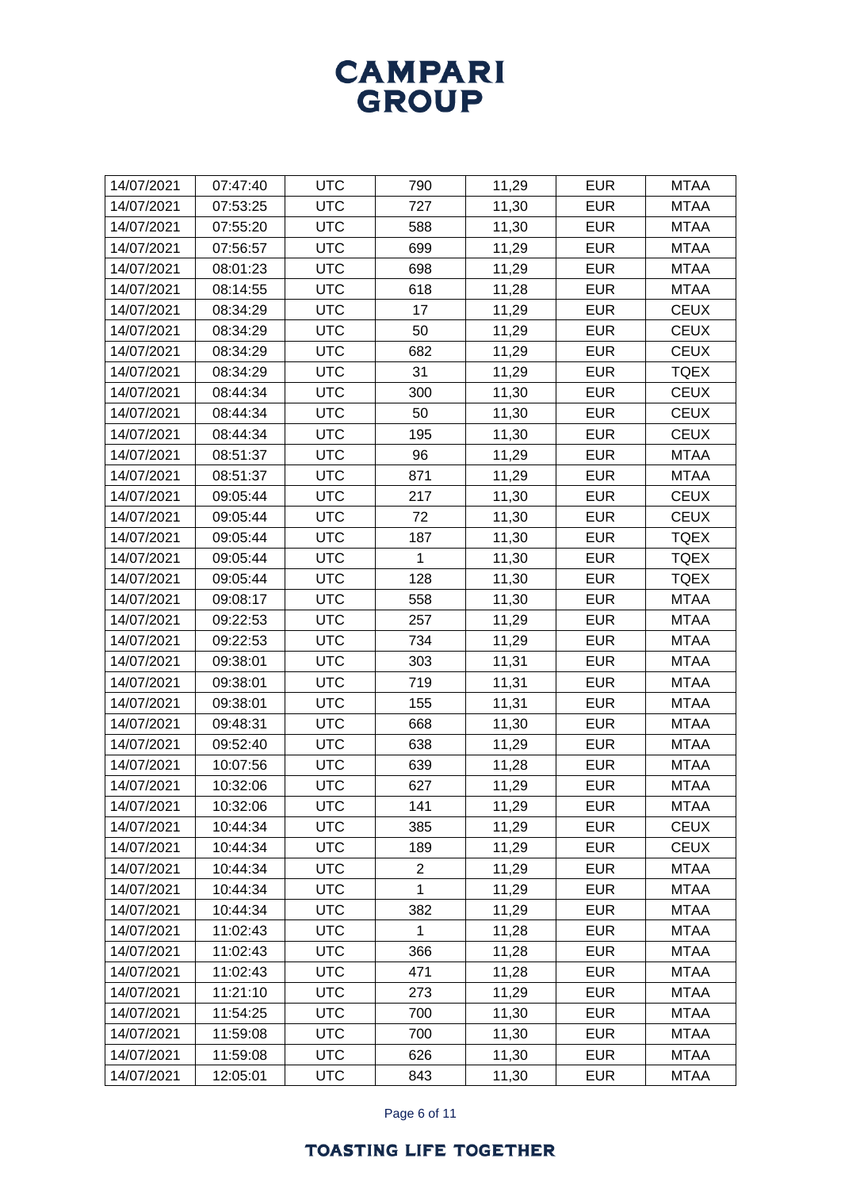| 14/07/2021 | 07:47:40 | <b>UTC</b> | 790            | 11,29 | <b>EUR</b> | <b>MTAA</b> |
|------------|----------|------------|----------------|-------|------------|-------------|
| 14/07/2021 | 07:53:25 | <b>UTC</b> | 727            | 11,30 | <b>EUR</b> | <b>MTAA</b> |
| 14/07/2021 | 07:55:20 | <b>UTC</b> | 588            | 11,30 | <b>EUR</b> | <b>MTAA</b> |
| 14/07/2021 | 07:56:57 | <b>UTC</b> | 699            | 11,29 | <b>EUR</b> | <b>MTAA</b> |
| 14/07/2021 | 08:01:23 | <b>UTC</b> | 698            | 11,29 | <b>EUR</b> | <b>MTAA</b> |
| 14/07/2021 | 08:14:55 | <b>UTC</b> | 618            | 11,28 | <b>EUR</b> | <b>MTAA</b> |
| 14/07/2021 | 08:34:29 | <b>UTC</b> | 17             | 11,29 | <b>EUR</b> | <b>CEUX</b> |
| 14/07/2021 | 08:34:29 | <b>UTC</b> | 50             | 11,29 | <b>EUR</b> | <b>CEUX</b> |
| 14/07/2021 | 08:34:29 | <b>UTC</b> | 682            | 11,29 | <b>EUR</b> | <b>CEUX</b> |
| 14/07/2021 | 08:34:29 | <b>UTC</b> | 31             | 11,29 | <b>EUR</b> | <b>TQEX</b> |
| 14/07/2021 | 08:44:34 | <b>UTC</b> | 300            | 11,30 | <b>EUR</b> | <b>CEUX</b> |
| 14/07/2021 | 08:44:34 | <b>UTC</b> | 50             | 11,30 | <b>EUR</b> | <b>CEUX</b> |
| 14/07/2021 | 08:44:34 | <b>UTC</b> | 195            | 11,30 | <b>EUR</b> | <b>CEUX</b> |
| 14/07/2021 | 08:51:37 | <b>UTC</b> | 96             | 11,29 | <b>EUR</b> | <b>MTAA</b> |
| 14/07/2021 | 08:51:37 | <b>UTC</b> | 871            | 11,29 | <b>EUR</b> | <b>MTAA</b> |
| 14/07/2021 | 09:05:44 | <b>UTC</b> | 217            | 11,30 | <b>EUR</b> | <b>CEUX</b> |
| 14/07/2021 | 09:05:44 | <b>UTC</b> | 72             | 11,30 | <b>EUR</b> | <b>CEUX</b> |
| 14/07/2021 | 09:05:44 | <b>UTC</b> | 187            | 11,30 | <b>EUR</b> | <b>TQEX</b> |
| 14/07/2021 | 09:05:44 | <b>UTC</b> | 1              | 11,30 | <b>EUR</b> | <b>TQEX</b> |
| 14/07/2021 | 09:05:44 | <b>UTC</b> | 128            | 11,30 | <b>EUR</b> | <b>TQEX</b> |
| 14/07/2021 | 09:08:17 | <b>UTC</b> | 558            | 11,30 | <b>EUR</b> | <b>MTAA</b> |
| 14/07/2021 | 09:22:53 | <b>UTC</b> | 257            | 11,29 | <b>EUR</b> | <b>MTAA</b> |
| 14/07/2021 | 09:22:53 | <b>UTC</b> | 734            | 11,29 | <b>EUR</b> | <b>MTAA</b> |
| 14/07/2021 | 09:38:01 | <b>UTC</b> | 303            | 11,31 | <b>EUR</b> | <b>MTAA</b> |
| 14/07/2021 | 09:38:01 | <b>UTC</b> | 719            | 11,31 | <b>EUR</b> | <b>MTAA</b> |
| 14/07/2021 | 09:38:01 | <b>UTC</b> | 155            | 11,31 | <b>EUR</b> | <b>MTAA</b> |
| 14/07/2021 | 09:48:31 | <b>UTC</b> | 668            | 11,30 | <b>EUR</b> | <b>MTAA</b> |
| 14/07/2021 | 09:52:40 | <b>UTC</b> | 638            | 11,29 | <b>EUR</b> | <b>MTAA</b> |
| 14/07/2021 | 10:07:56 | <b>UTC</b> | 639            | 11,28 | <b>EUR</b> | <b>MTAA</b> |
| 14/07/2021 | 10:32:06 | <b>UTC</b> | 627            | 11,29 | <b>EUR</b> | <b>MTAA</b> |
| 14/07/2021 | 10:32:06 | <b>UTC</b> | 141            | 11,29 | <b>EUR</b> | <b>MTAA</b> |
| 14/07/2021 | 10:44:34 | <b>UTC</b> | 385            | 11,29 | <b>EUR</b> | <b>CEUX</b> |
| 14/07/2021 | 10:44:34 | <b>UTC</b> | 189            | 11,29 | <b>EUR</b> | <b>CEUX</b> |
| 14/07/2021 | 10:44:34 | <b>UTC</b> | $\overline{c}$ | 11,29 | <b>EUR</b> | <b>MTAA</b> |
| 14/07/2021 | 10:44:34 | <b>UTC</b> | 1              | 11,29 | <b>EUR</b> | <b>MTAA</b> |
| 14/07/2021 | 10:44:34 | <b>UTC</b> | 382            | 11,29 | <b>EUR</b> | <b>MTAA</b> |
| 14/07/2021 | 11:02:43 | <b>UTC</b> | 1              | 11,28 | <b>EUR</b> | <b>MTAA</b> |
| 14/07/2021 | 11:02:43 | <b>UTC</b> | 366            | 11,28 | <b>EUR</b> | <b>MTAA</b> |
| 14/07/2021 | 11:02:43 | <b>UTC</b> | 471            | 11,28 | <b>EUR</b> | <b>MTAA</b> |
| 14/07/2021 | 11:21:10 | <b>UTC</b> | 273            | 11,29 | <b>EUR</b> | <b>MTAA</b> |
| 14/07/2021 | 11:54:25 | <b>UTC</b> | 700            | 11,30 | <b>EUR</b> | <b>MTAA</b> |
| 14/07/2021 | 11:59:08 | <b>UTC</b> | 700            | 11,30 | <b>EUR</b> | <b>MTAA</b> |
| 14/07/2021 | 11:59:08 | <b>UTC</b> | 626            | 11,30 | <b>EUR</b> | <b>MTAA</b> |
| 14/07/2021 | 12:05:01 | <b>UTC</b> | 843            | 11,30 | <b>EUR</b> | <b>MTAA</b> |
|            |          |            |                |       |            |             |

Page 6 of 11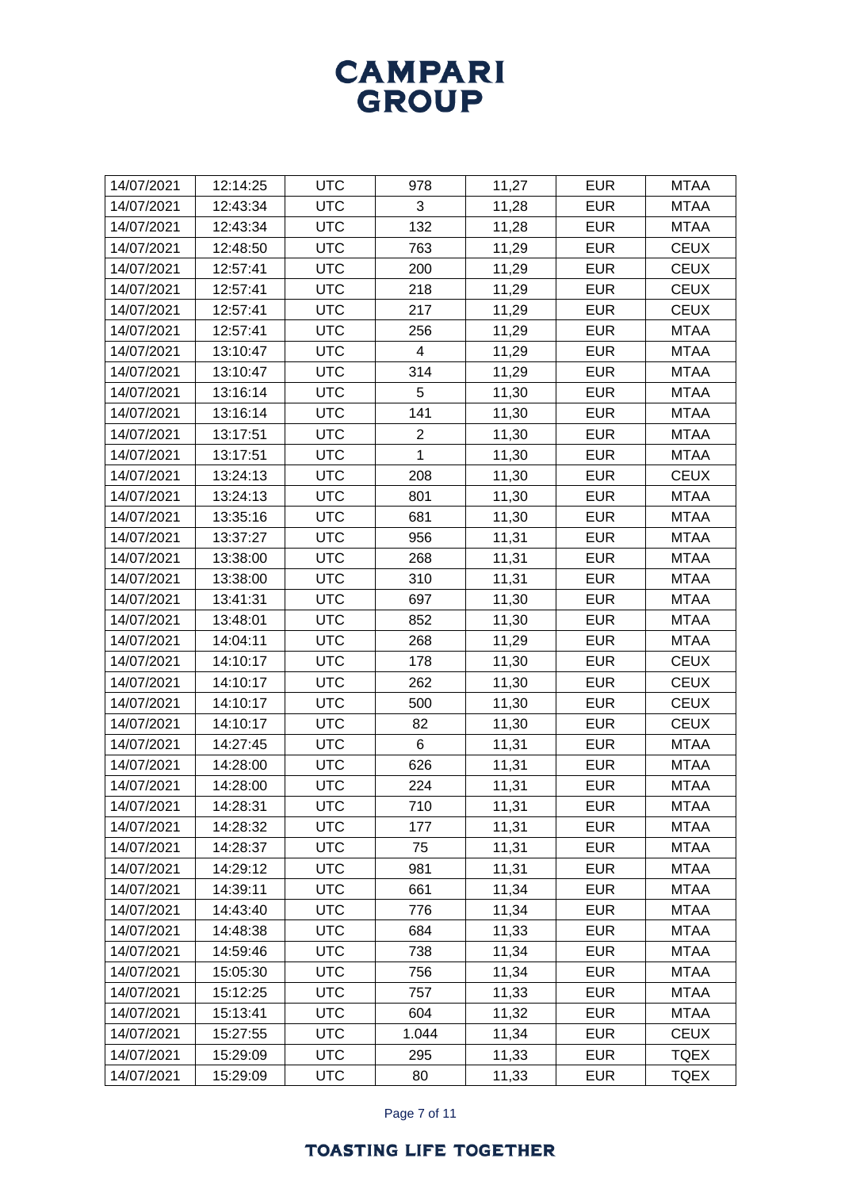| 14/07/2021 | 12:14:25 | <b>UTC</b> | 978            | 11,27 | <b>EUR</b> | <b>MTAA</b> |
|------------|----------|------------|----------------|-------|------------|-------------|
| 14/07/2021 | 12:43:34 | <b>UTC</b> | 3              | 11,28 | <b>EUR</b> | <b>MTAA</b> |
| 14/07/2021 | 12:43:34 | <b>UTC</b> | 132            | 11,28 | <b>EUR</b> | <b>MTAA</b> |
| 14/07/2021 | 12:48:50 | <b>UTC</b> | 763            | 11,29 | <b>EUR</b> | <b>CEUX</b> |
| 14/07/2021 | 12:57:41 | <b>UTC</b> | 200            | 11,29 | <b>EUR</b> | <b>CEUX</b> |
| 14/07/2021 | 12:57:41 | <b>UTC</b> | 218            | 11,29 | <b>EUR</b> | <b>CEUX</b> |
| 14/07/2021 | 12:57:41 | <b>UTC</b> | 217            | 11,29 | <b>EUR</b> | <b>CEUX</b> |
| 14/07/2021 | 12:57:41 | <b>UTC</b> | 256            | 11,29 | <b>EUR</b> | <b>MTAA</b> |
| 14/07/2021 | 13:10:47 | <b>UTC</b> | $\overline{4}$ | 11,29 | <b>EUR</b> | MTAA        |
| 14/07/2021 | 13:10:47 | <b>UTC</b> | 314            | 11,29 | <b>EUR</b> | <b>MTAA</b> |
| 14/07/2021 | 13:16:14 | <b>UTC</b> | 5              | 11,30 | <b>EUR</b> | <b>MTAA</b> |
| 14/07/2021 | 13:16:14 | <b>UTC</b> | 141            | 11,30 | <b>EUR</b> | <b>MTAA</b> |
| 14/07/2021 | 13:17:51 | <b>UTC</b> | $\overline{2}$ | 11,30 | <b>EUR</b> | <b>MTAA</b> |
| 14/07/2021 | 13:17:51 | <b>UTC</b> | 1              | 11,30 | <b>EUR</b> | <b>MTAA</b> |
| 14/07/2021 | 13:24:13 | <b>UTC</b> | 208            | 11,30 | <b>EUR</b> | <b>CEUX</b> |
| 14/07/2021 | 13:24:13 | <b>UTC</b> | 801            | 11,30 | <b>EUR</b> | <b>MTAA</b> |
| 14/07/2021 | 13:35:16 | <b>UTC</b> | 681            | 11,30 | <b>EUR</b> | <b>MTAA</b> |
| 14/07/2021 | 13:37:27 | <b>UTC</b> | 956            | 11,31 | <b>EUR</b> | <b>MTAA</b> |
| 14/07/2021 | 13:38:00 | <b>UTC</b> | 268            | 11,31 | <b>EUR</b> | <b>MTAA</b> |
| 14/07/2021 | 13:38:00 | <b>UTC</b> | 310            | 11,31 | <b>EUR</b> | <b>MTAA</b> |
| 14/07/2021 | 13:41:31 | <b>UTC</b> | 697            | 11,30 | <b>EUR</b> | <b>MTAA</b> |
| 14/07/2021 | 13:48:01 | <b>UTC</b> | 852            | 11,30 | <b>EUR</b> | <b>MTAA</b> |
| 14/07/2021 | 14:04:11 | <b>UTC</b> | 268            | 11,29 | <b>EUR</b> | <b>MTAA</b> |
| 14/07/2021 | 14:10:17 | <b>UTC</b> | 178            | 11,30 | <b>EUR</b> | <b>CEUX</b> |
| 14/07/2021 | 14:10:17 | <b>UTC</b> | 262            | 11,30 | <b>EUR</b> | <b>CEUX</b> |
| 14/07/2021 | 14:10:17 | <b>UTC</b> | 500            | 11,30 | <b>EUR</b> | <b>CEUX</b> |
| 14/07/2021 | 14:10:17 | <b>UTC</b> | 82             | 11,30 | <b>EUR</b> | <b>CEUX</b> |
| 14/07/2021 | 14:27:45 | <b>UTC</b> | 6              | 11,31 | <b>EUR</b> | <b>MTAA</b> |
| 14/07/2021 | 14:28:00 | <b>UTC</b> | 626            | 11,31 | <b>EUR</b> | <b>MTAA</b> |
| 14/07/2021 | 14:28:00 | <b>UTC</b> | 224            | 11,31 | <b>EUR</b> | <b>MTAA</b> |
| 14/07/2021 | 14:28:31 | <b>UTC</b> | 710            | 11,31 | <b>EUR</b> | <b>MTAA</b> |
| 14/07/2021 | 14:28:32 | <b>UTC</b> | 177            | 11,31 | <b>EUR</b> | <b>MTAA</b> |
| 14/07/2021 | 14:28:37 | <b>UTC</b> | 75             | 11,31 | <b>EUR</b> | <b>MTAA</b> |
| 14/07/2021 | 14:29:12 | <b>UTC</b> | 981            | 11,31 | <b>EUR</b> | <b>MTAA</b> |
| 14/07/2021 | 14:39:11 | <b>UTC</b> | 661            | 11,34 | <b>EUR</b> | <b>MTAA</b> |
| 14/07/2021 | 14:43:40 | <b>UTC</b> | 776            | 11,34 | <b>EUR</b> | <b>MTAA</b> |
| 14/07/2021 | 14:48:38 | <b>UTC</b> | 684            | 11,33 | <b>EUR</b> | <b>MTAA</b> |
| 14/07/2021 | 14:59:46 | <b>UTC</b> | 738            | 11,34 | <b>EUR</b> | <b>MTAA</b> |
| 14/07/2021 | 15:05:30 | <b>UTC</b> | 756            | 11,34 | <b>EUR</b> | MTAA        |
| 14/07/2021 | 15:12:25 | <b>UTC</b> | 757            | 11,33 | <b>EUR</b> | <b>MTAA</b> |
| 14/07/2021 | 15:13:41 | <b>UTC</b> | 604            | 11,32 | <b>EUR</b> | <b>MTAA</b> |
| 14/07/2021 | 15:27:55 | <b>UTC</b> | 1.044          | 11,34 | <b>EUR</b> | <b>CEUX</b> |
| 14/07/2021 | 15:29:09 | <b>UTC</b> | 295            | 11,33 | <b>EUR</b> | <b>TQEX</b> |
| 14/07/2021 | 15:29:09 | <b>UTC</b> | 80             | 11,33 | <b>EUR</b> | <b>TQEX</b> |

Page 7 of 11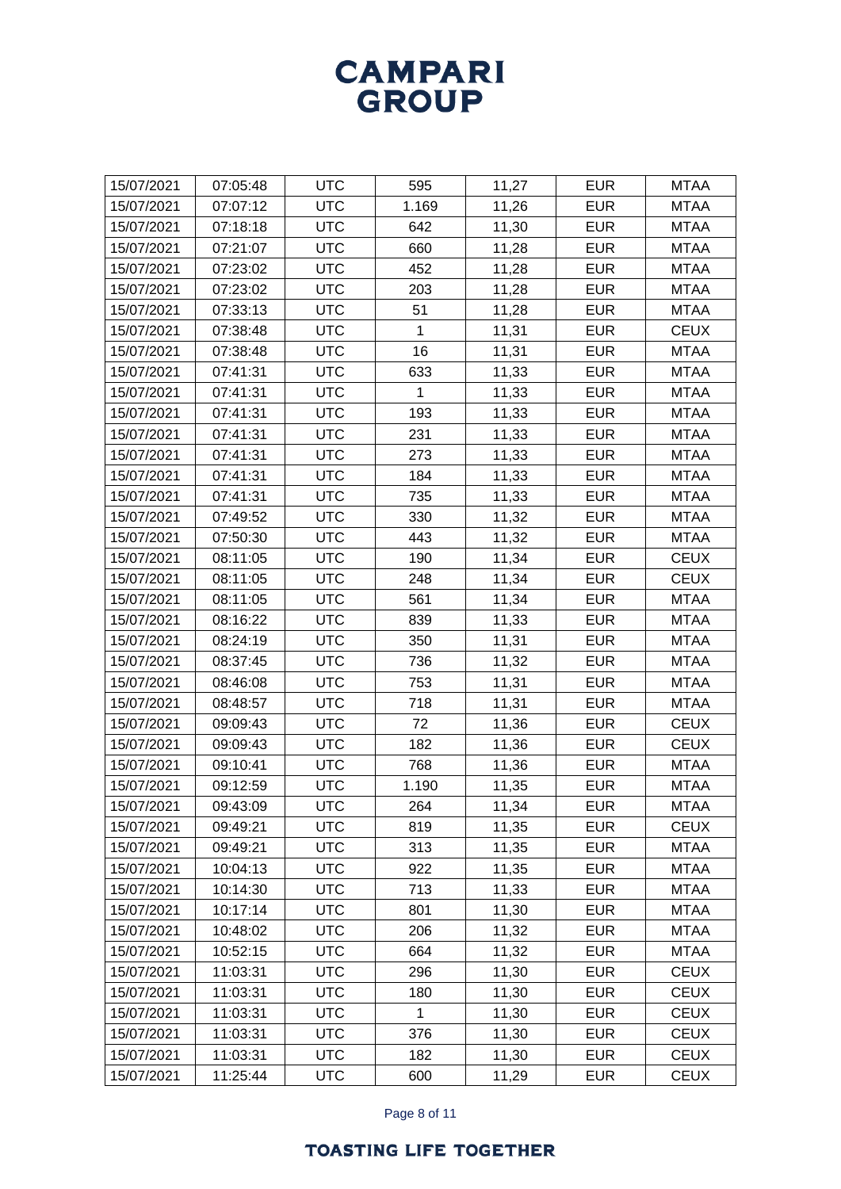| 15/07/2021 | 07:05:48 | <b>UTC</b> | 595          | 11,27 | <b>EUR</b> | <b>MTAA</b> |
|------------|----------|------------|--------------|-------|------------|-------------|
| 15/07/2021 | 07:07:12 | <b>UTC</b> | 1.169        | 11,26 | <b>EUR</b> | <b>MTAA</b> |
| 15/07/2021 | 07:18:18 | <b>UTC</b> | 642          | 11,30 | <b>EUR</b> | <b>MTAA</b> |
| 15/07/2021 | 07:21:07 | <b>UTC</b> | 660          | 11,28 | <b>EUR</b> | <b>MTAA</b> |
| 15/07/2021 | 07:23:02 | <b>UTC</b> | 452          | 11,28 | <b>EUR</b> | <b>MTAA</b> |
| 15/07/2021 | 07:23:02 | <b>UTC</b> | 203          | 11,28 | <b>EUR</b> | <b>MTAA</b> |
| 15/07/2021 | 07:33:13 | <b>UTC</b> | 51           | 11,28 | <b>EUR</b> | <b>MTAA</b> |
| 15/07/2021 | 07:38:48 | <b>UTC</b> | 1            | 11,31 | <b>EUR</b> | <b>CEUX</b> |
| 15/07/2021 | 07:38:48 | <b>UTC</b> | 16           | 11,31 | <b>EUR</b> | <b>MTAA</b> |
| 15/07/2021 | 07:41:31 | <b>UTC</b> | 633          | 11,33 | <b>EUR</b> | <b>MTAA</b> |
| 15/07/2021 | 07:41:31 | <b>UTC</b> | 1            | 11,33 | <b>EUR</b> | <b>MTAA</b> |
| 15/07/2021 | 07:41:31 | <b>UTC</b> | 193          | 11,33 | <b>EUR</b> | <b>MTAA</b> |
| 15/07/2021 | 07:41:31 | <b>UTC</b> | 231          | 11,33 | <b>EUR</b> | <b>MTAA</b> |
| 15/07/2021 | 07:41:31 | <b>UTC</b> | 273          | 11,33 | <b>EUR</b> | <b>MTAA</b> |
| 15/07/2021 | 07:41:31 | <b>UTC</b> | 184          | 11,33 | <b>EUR</b> | <b>MTAA</b> |
| 15/07/2021 | 07:41:31 | <b>UTC</b> | 735          | 11,33 | <b>EUR</b> | <b>MTAA</b> |
| 15/07/2021 | 07:49:52 | <b>UTC</b> | 330          | 11,32 | <b>EUR</b> | <b>MTAA</b> |
| 15/07/2021 | 07:50:30 | <b>UTC</b> | 443          | 11,32 | <b>EUR</b> | <b>MTAA</b> |
| 15/07/2021 | 08:11:05 | <b>UTC</b> | 190          | 11,34 | <b>EUR</b> | <b>CEUX</b> |
| 15/07/2021 | 08:11:05 | <b>UTC</b> | 248          | 11,34 | <b>EUR</b> | <b>CEUX</b> |
| 15/07/2021 | 08:11:05 | <b>UTC</b> | 561          | 11,34 | <b>EUR</b> | <b>MTAA</b> |
| 15/07/2021 | 08:16:22 | <b>UTC</b> | 839          | 11,33 | <b>EUR</b> | <b>MTAA</b> |
| 15/07/2021 | 08:24:19 | <b>UTC</b> | 350          | 11,31 | <b>EUR</b> | <b>MTAA</b> |
| 15/07/2021 | 08:37:45 | <b>UTC</b> | 736          | 11,32 | <b>EUR</b> | <b>MTAA</b> |
| 15/07/2021 | 08:46:08 | <b>UTC</b> | 753          | 11,31 | <b>EUR</b> | <b>MTAA</b> |
| 15/07/2021 | 08:48:57 | <b>UTC</b> | 718          | 11,31 | <b>EUR</b> | <b>MTAA</b> |
| 15/07/2021 | 09:09:43 | <b>UTC</b> | 72           | 11,36 | <b>EUR</b> | <b>CEUX</b> |
| 15/07/2021 | 09:09:43 | <b>UTC</b> | 182          | 11,36 | <b>EUR</b> | <b>CEUX</b> |
| 15/07/2021 | 09:10:41 | <b>UTC</b> | 768          | 11,36 | <b>EUR</b> | <b>MTAA</b> |
| 15/07/2021 | 09:12:59 | <b>UTC</b> | 1.190        | 11,35 | <b>EUR</b> | <b>MTAA</b> |
| 15/07/2021 | 09:43:09 | <b>UTC</b> | 264          | 11,34 | <b>EUR</b> | <b>MTAA</b> |
| 15/07/2021 | 09:49:21 | <b>UTC</b> | 819          | 11,35 | <b>EUR</b> | <b>CEUX</b> |
| 15/07/2021 | 09:49:21 | <b>UTC</b> | 313          | 11,35 | <b>EUR</b> | <b>MTAA</b> |
| 15/07/2021 | 10:04:13 | <b>UTC</b> | 922          | 11,35 | <b>EUR</b> | <b>MTAA</b> |
| 15/07/2021 | 10:14:30 | <b>UTC</b> | 713          | 11,33 | <b>EUR</b> | <b>MTAA</b> |
| 15/07/2021 | 10:17:14 | <b>UTC</b> | 801          | 11,30 | <b>EUR</b> | <b>MTAA</b> |
| 15/07/2021 | 10:48:02 | <b>UTC</b> | 206          | 11,32 | <b>EUR</b> | <b>MTAA</b> |
| 15/07/2021 | 10:52:15 | <b>UTC</b> | 664          | 11,32 | <b>EUR</b> | <b>MTAA</b> |
| 15/07/2021 | 11:03:31 | <b>UTC</b> | 296          | 11,30 | <b>EUR</b> | <b>CEUX</b> |
| 15/07/2021 | 11:03:31 | <b>UTC</b> | 180          | 11,30 | <b>EUR</b> | <b>CEUX</b> |
| 15/07/2021 | 11:03:31 | <b>UTC</b> | $\mathbf{1}$ | 11,30 | <b>EUR</b> | <b>CEUX</b> |
| 15/07/2021 | 11:03:31 | <b>UTC</b> | 376          | 11,30 | <b>EUR</b> | <b>CEUX</b> |
| 15/07/2021 | 11:03:31 | <b>UTC</b> | 182          | 11,30 | <b>EUR</b> | <b>CEUX</b> |
| 15/07/2021 | 11:25:44 | <b>UTC</b> | 600          | 11,29 | <b>EUR</b> | <b>CEUX</b> |

Page 8 of 11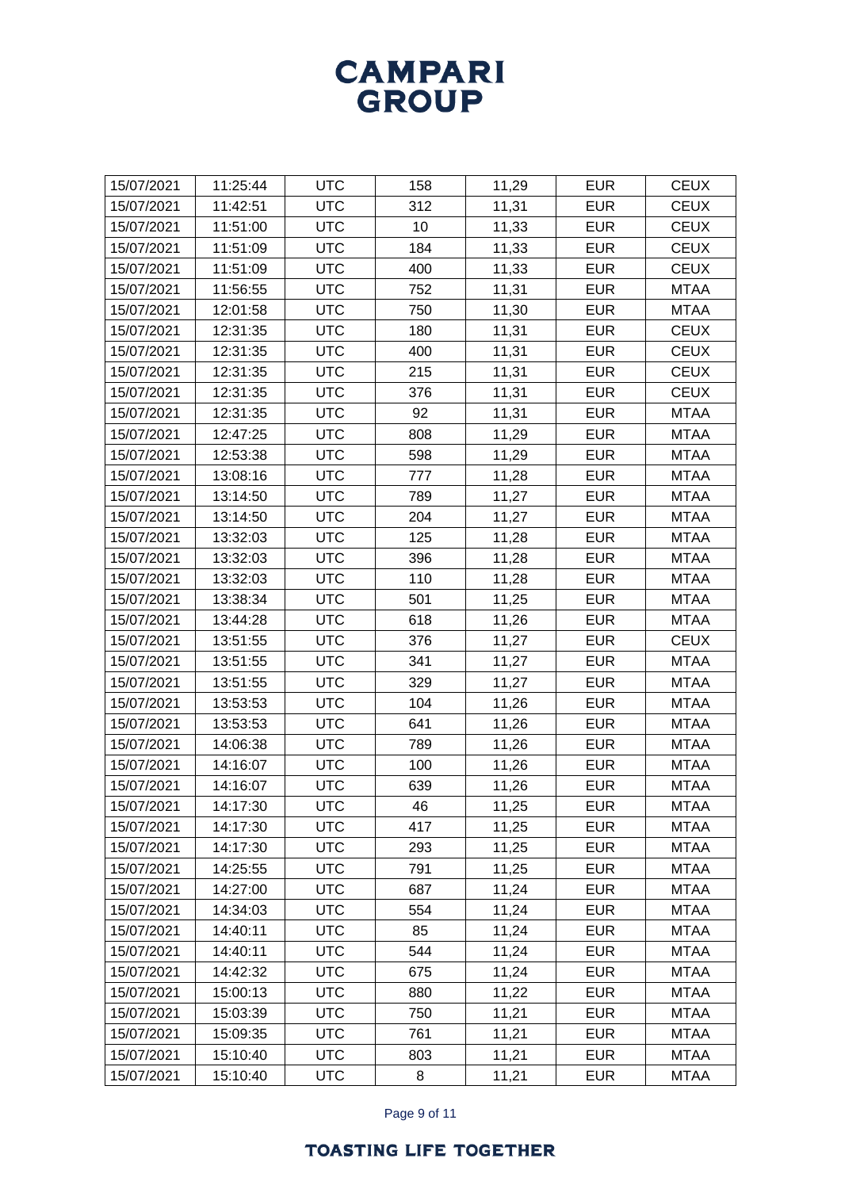| 15/07/2021 | 11:25:44 | <b>UTC</b> | 158 | 11,29 | <b>EUR</b> | <b>CEUX</b> |
|------------|----------|------------|-----|-------|------------|-------------|
| 15/07/2021 | 11:42:51 | <b>UTC</b> | 312 | 11,31 | <b>EUR</b> | <b>CEUX</b> |
| 15/07/2021 | 11:51:00 | <b>UTC</b> | 10  | 11,33 | <b>EUR</b> | <b>CEUX</b> |
| 15/07/2021 | 11:51:09 | <b>UTC</b> | 184 | 11,33 | <b>EUR</b> | <b>CEUX</b> |
| 15/07/2021 | 11:51:09 | <b>UTC</b> | 400 | 11,33 | <b>EUR</b> | <b>CEUX</b> |
| 15/07/2021 | 11:56:55 | <b>UTC</b> | 752 | 11,31 | <b>EUR</b> | <b>MTAA</b> |
| 15/07/2021 | 12:01:58 | <b>UTC</b> | 750 | 11,30 | <b>EUR</b> | <b>MTAA</b> |
| 15/07/2021 | 12:31:35 | <b>UTC</b> | 180 | 11,31 | <b>EUR</b> | <b>CEUX</b> |
| 15/07/2021 | 12:31:35 | <b>UTC</b> | 400 | 11,31 | <b>EUR</b> | <b>CEUX</b> |
| 15/07/2021 | 12:31:35 | <b>UTC</b> | 215 | 11,31 | <b>EUR</b> | <b>CEUX</b> |
| 15/07/2021 | 12:31:35 | <b>UTC</b> | 376 | 11,31 | <b>EUR</b> | <b>CEUX</b> |
| 15/07/2021 | 12:31:35 | <b>UTC</b> | 92  | 11,31 | <b>EUR</b> | <b>MTAA</b> |
| 15/07/2021 | 12:47:25 | <b>UTC</b> | 808 | 11,29 | <b>EUR</b> | <b>MTAA</b> |
| 15/07/2021 | 12:53:38 | <b>UTC</b> | 598 | 11,29 | <b>EUR</b> | <b>MTAA</b> |
| 15/07/2021 | 13:08:16 | <b>UTC</b> | 777 | 11,28 | <b>EUR</b> | <b>MTAA</b> |
| 15/07/2021 | 13:14:50 | <b>UTC</b> | 789 | 11,27 | <b>EUR</b> | <b>MTAA</b> |
| 15/07/2021 | 13:14:50 | <b>UTC</b> | 204 | 11,27 | <b>EUR</b> | <b>MTAA</b> |
| 15/07/2021 | 13:32:03 | <b>UTC</b> | 125 | 11,28 | <b>EUR</b> | <b>MTAA</b> |
| 15/07/2021 | 13:32:03 | <b>UTC</b> | 396 | 11,28 | <b>EUR</b> | <b>MTAA</b> |
| 15/07/2021 | 13:32:03 | <b>UTC</b> | 110 | 11,28 | <b>EUR</b> | <b>MTAA</b> |
| 15/07/2021 | 13:38:34 | <b>UTC</b> | 501 | 11,25 | <b>EUR</b> | <b>MTAA</b> |
| 15/07/2021 | 13:44:28 | <b>UTC</b> | 618 | 11,26 | <b>EUR</b> | <b>MTAA</b> |
| 15/07/2021 | 13:51:55 | <b>UTC</b> | 376 | 11,27 | <b>EUR</b> | <b>CEUX</b> |
| 15/07/2021 | 13:51:55 | <b>UTC</b> | 341 | 11,27 | <b>EUR</b> | <b>MTAA</b> |
| 15/07/2021 | 13:51:55 | <b>UTC</b> | 329 | 11,27 | <b>EUR</b> | <b>MTAA</b> |
| 15/07/2021 | 13:53:53 | <b>UTC</b> | 104 | 11,26 | <b>EUR</b> | <b>MTAA</b> |
| 15/07/2021 | 13:53:53 | <b>UTC</b> | 641 | 11,26 | <b>EUR</b> | <b>MTAA</b> |
| 15/07/2021 | 14:06:38 | <b>UTC</b> | 789 | 11,26 | <b>EUR</b> | <b>MTAA</b> |
| 15/07/2021 | 14:16:07 | <b>UTC</b> | 100 | 11,26 | <b>EUR</b> | <b>MTAA</b> |
| 15/07/2021 | 14:16:07 | <b>UTC</b> | 639 | 11,26 | <b>EUR</b> | <b>MTAA</b> |
| 15/07/2021 | 14:17:30 | <b>UTC</b> | 46  | 11,25 | <b>EUR</b> | <b>MTAA</b> |
| 15/07/2021 | 14:17:30 | <b>UTC</b> | 417 | 11,25 | <b>EUR</b> | <b>MTAA</b> |
| 15/07/2021 | 14:17:30 | <b>UTC</b> | 293 | 11,25 | <b>EUR</b> | <b>MTAA</b> |
| 15/07/2021 | 14:25:55 | <b>UTC</b> | 791 | 11,25 | <b>EUR</b> | <b>MTAA</b> |
| 15/07/2021 | 14:27:00 | <b>UTC</b> | 687 | 11,24 | <b>EUR</b> | <b>MTAA</b> |
| 15/07/2021 | 14:34:03 | <b>UTC</b> | 554 | 11,24 | <b>EUR</b> | <b>MTAA</b> |
| 15/07/2021 | 14:40:11 | <b>UTC</b> | 85  | 11,24 | <b>EUR</b> | <b>MTAA</b> |
| 15/07/2021 | 14:40:11 | <b>UTC</b> | 544 | 11,24 | <b>EUR</b> | <b>MTAA</b> |
| 15/07/2021 | 14:42:32 | <b>UTC</b> | 675 | 11,24 | <b>EUR</b> | <b>MTAA</b> |
| 15/07/2021 | 15:00:13 | <b>UTC</b> | 880 | 11,22 | <b>EUR</b> | <b>MTAA</b> |
| 15/07/2021 | 15:03:39 | <b>UTC</b> | 750 | 11,21 | <b>EUR</b> | <b>MTAA</b> |
| 15/07/2021 | 15:09:35 | <b>UTC</b> | 761 | 11,21 | <b>EUR</b> | <b>MTAA</b> |
| 15/07/2021 | 15:10:40 | <b>UTC</b> | 803 | 11,21 | <b>EUR</b> | <b>MTAA</b> |
| 15/07/2021 | 15:10:40 | <b>UTC</b> | 8   | 11,21 | <b>EUR</b> | <b>MTAA</b> |
|            |          |            |     |       |            |             |

Page 9 of 11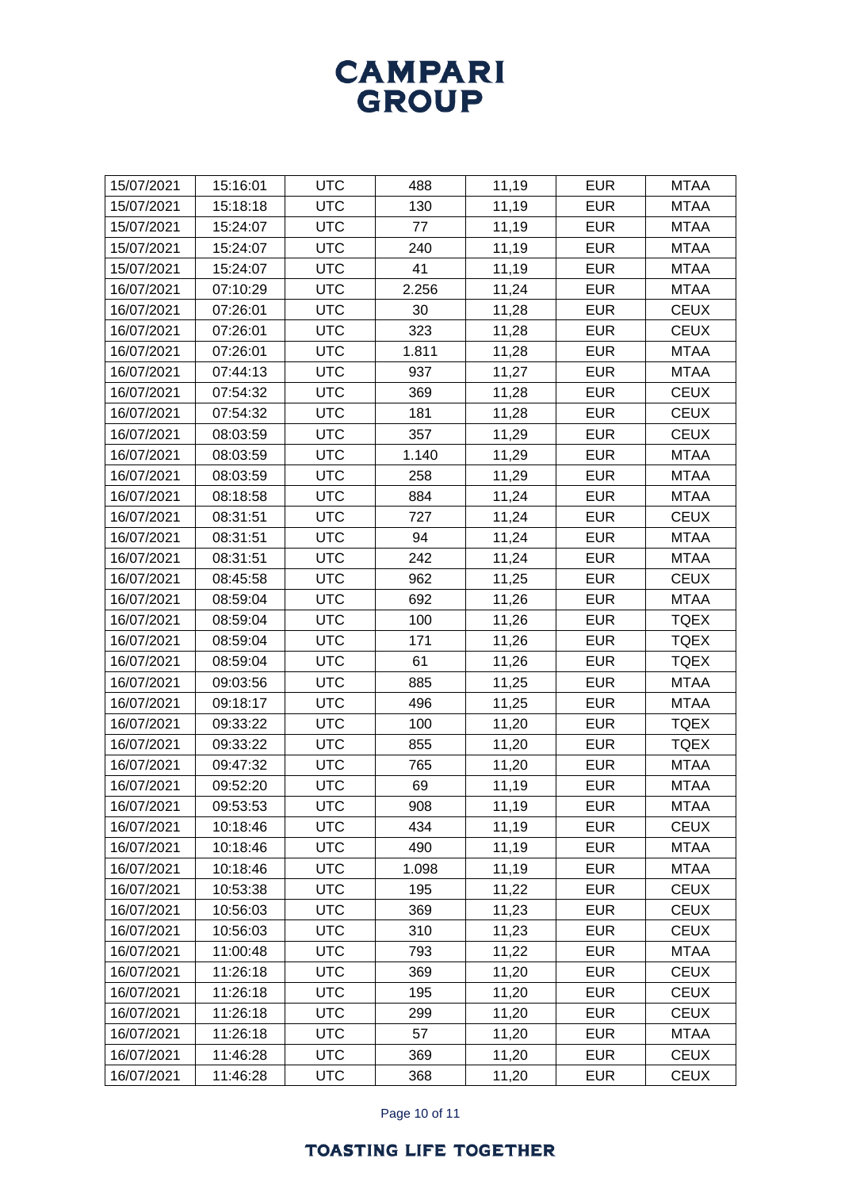| 15/07/2021 | 15:16:01 | <b>UTC</b> | 488   | 11,19 | <b>EUR</b> | <b>MTAA</b> |
|------------|----------|------------|-------|-------|------------|-------------|
| 15/07/2021 | 15:18:18 | <b>UTC</b> | 130   | 11,19 | <b>EUR</b> | <b>MTAA</b> |
| 15/07/2021 | 15:24:07 | <b>UTC</b> | 77    | 11,19 | <b>EUR</b> | <b>MTAA</b> |
| 15/07/2021 | 15:24:07 | <b>UTC</b> | 240   | 11,19 | <b>EUR</b> | <b>MTAA</b> |
| 15/07/2021 | 15:24:07 | <b>UTC</b> | 41    | 11,19 | <b>EUR</b> | <b>MTAA</b> |
| 16/07/2021 | 07:10:29 | <b>UTC</b> | 2.256 | 11,24 | <b>EUR</b> | <b>MTAA</b> |
| 16/07/2021 | 07:26:01 | <b>UTC</b> | 30    | 11,28 | <b>EUR</b> | <b>CEUX</b> |
| 16/07/2021 | 07:26:01 | <b>UTC</b> | 323   | 11,28 | <b>EUR</b> | <b>CEUX</b> |
| 16/07/2021 | 07:26:01 | <b>UTC</b> | 1.811 | 11,28 | <b>EUR</b> | <b>MTAA</b> |
| 16/07/2021 | 07:44:13 | <b>UTC</b> | 937   | 11,27 | <b>EUR</b> | <b>MTAA</b> |
| 16/07/2021 | 07:54:32 | <b>UTC</b> | 369   | 11,28 | <b>EUR</b> | <b>CEUX</b> |
| 16/07/2021 | 07:54:32 | <b>UTC</b> | 181   | 11,28 | <b>EUR</b> | <b>CEUX</b> |
| 16/07/2021 | 08:03:59 | <b>UTC</b> | 357   | 11,29 | <b>EUR</b> | <b>CEUX</b> |
| 16/07/2021 | 08:03:59 | <b>UTC</b> | 1.140 | 11,29 | <b>EUR</b> | <b>MTAA</b> |
| 16/07/2021 | 08:03:59 | <b>UTC</b> | 258   | 11,29 | <b>EUR</b> | <b>MTAA</b> |
| 16/07/2021 | 08:18:58 | <b>UTC</b> | 884   | 11,24 | <b>EUR</b> | <b>MTAA</b> |
| 16/07/2021 | 08:31:51 | <b>UTC</b> | 727   | 11,24 | <b>EUR</b> | <b>CEUX</b> |
| 16/07/2021 | 08:31:51 | <b>UTC</b> | 94    | 11,24 | <b>EUR</b> | <b>MTAA</b> |
| 16/07/2021 | 08:31:51 | <b>UTC</b> | 242   | 11,24 | <b>EUR</b> | <b>MTAA</b> |
| 16/07/2021 | 08:45:58 | <b>UTC</b> | 962   | 11,25 | <b>EUR</b> | <b>CEUX</b> |
| 16/07/2021 | 08:59:04 | <b>UTC</b> | 692   | 11,26 | <b>EUR</b> | <b>MTAA</b> |
| 16/07/2021 | 08:59:04 | <b>UTC</b> | 100   | 11,26 | <b>EUR</b> | <b>TQEX</b> |
| 16/07/2021 | 08:59:04 | <b>UTC</b> | 171   | 11,26 | <b>EUR</b> | <b>TQEX</b> |
| 16/07/2021 | 08:59:04 | <b>UTC</b> | 61    | 11,26 | <b>EUR</b> | <b>TQEX</b> |
| 16/07/2021 | 09:03:56 | <b>UTC</b> | 885   | 11,25 | <b>EUR</b> | <b>MTAA</b> |
| 16/07/2021 | 09:18:17 | <b>UTC</b> | 496   | 11,25 | <b>EUR</b> | <b>MTAA</b> |
| 16/07/2021 | 09:33:22 | <b>UTC</b> | 100   | 11,20 | <b>EUR</b> | <b>TQEX</b> |
| 16/07/2021 | 09:33:22 | <b>UTC</b> | 855   | 11,20 | <b>EUR</b> | <b>TQEX</b> |
| 16/07/2021 | 09:47:32 | <b>UTC</b> | 765   | 11,20 | <b>EUR</b> | <b>MTAA</b> |
| 16/07/2021 | 09:52:20 | <b>UTC</b> | 69    | 11,19 | <b>EUR</b> | <b>MTAA</b> |
| 16/07/2021 | 09:53:53 | <b>UTC</b> | 908   | 11,19 | <b>EUR</b> | <b>MTAA</b> |
| 16/07/2021 | 10:18:46 | <b>UTC</b> | 434   | 11,19 | <b>EUR</b> | <b>CEUX</b> |
| 16/07/2021 | 10:18:46 | <b>UTC</b> | 490   | 11,19 | <b>EUR</b> | <b>MTAA</b> |
| 16/07/2021 | 10:18:46 | <b>UTC</b> | 1.098 | 11,19 | <b>EUR</b> | <b>MTAA</b> |
| 16/07/2021 | 10:53:38 | <b>UTC</b> | 195   | 11,22 | <b>EUR</b> | <b>CEUX</b> |
| 16/07/2021 | 10:56:03 | <b>UTC</b> | 369   | 11,23 | <b>EUR</b> | <b>CEUX</b> |
| 16/07/2021 | 10:56:03 | <b>UTC</b> | 310   | 11,23 | <b>EUR</b> | <b>CEUX</b> |
| 16/07/2021 | 11:00:48 | <b>UTC</b> | 793   | 11,22 | <b>EUR</b> | <b>MTAA</b> |
| 16/07/2021 | 11:26:18 | <b>UTC</b> | 369   | 11,20 | <b>EUR</b> | <b>CEUX</b> |
| 16/07/2021 | 11:26:18 | <b>UTC</b> | 195   | 11,20 | <b>EUR</b> | <b>CEUX</b> |
| 16/07/2021 | 11:26:18 | <b>UTC</b> | 299   | 11,20 | <b>EUR</b> | <b>CEUX</b> |
| 16/07/2021 | 11:26:18 | <b>UTC</b> | 57    | 11,20 | <b>EUR</b> | <b>MTAA</b> |
| 16/07/2021 | 11:46:28 | <b>UTC</b> | 369   | 11,20 | <b>EUR</b> | <b>CEUX</b> |
| 16/07/2021 | 11:46:28 | <b>UTC</b> | 368   | 11,20 | <b>EUR</b> | <b>CEUX</b> |

Page 10 of 11